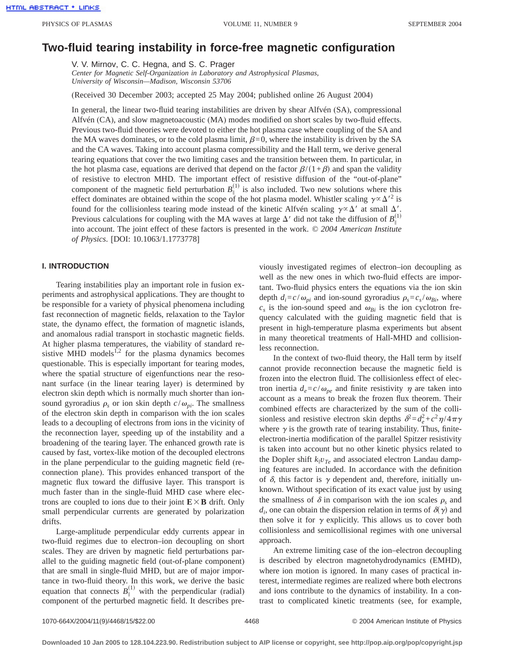# **Two-fluid tearing instability in force-free magnetic configuration**

V. V. Mirnov, C. C. Hegna, and S. C. Prager

*Center for Magnetic Self-Organization in Laboratory and Astrophysical Plasmas, University of Wisconsin—Madison, Wisconsin 53706*

(Received 30 December 2003; accepted 25 May 2004; published online 26 August 2004)

In general, the linear two-fluid tearing instabilities are driven by shear Alfvén (SA), compressional Alfvén (CA), and slow magnetoacoustic (MA) modes modified on short scales by two-fluid effects. Previous two-fluid theories were devoted to either the hot plasma case where coupling of the SA and the MA waves dominates, or to the cold plasma limit,  $\beta=0$ , where the instability is driven by the SA and the CA waves. Taking into account plasma compressibility and the Hall term, we derive general tearing equations that cover the two limiting cases and the transition between them. In particular, in the hot plasma case, equations are derived that depend on the factor  $\beta/(1+\beta)$  and span the validity of resistive to electron MHD. The important effect of resistive diffusion of the "out-of-plane" component of the magnetic field perturbation  $B_{\parallel}^{(1)}$  is also included. Two new solutions where this effect dominates are obtained within the scope of the hot plasma model. Whistler scaling  $\gamma \propto \Delta^{2}$  is found for the collisionless tearing mode instead of the kinetic Alfvén scaling  $\gamma \propto \Delta'$  at small  $\Delta'$ . Previous calculations for coupling with the MA waves at large  $\Delta'$  did not take the diffusion of  $B_{\parallel}^{(1)}$ into account. The joint effect of these factors is presented in the work. © *2004 American Institute of Physics*. [DOI: 10.1063/1.1773778]

#### **I. INTRODUCTION**

Tearing instabilities play an important role in fusion experiments and astrophysical applications. They are thought to be responsible for a variety of physical phenomena including fast reconnection of magnetic fields, relaxation to the Taylor state, the dynamo effect, the formation of magnetic islands, and anomalous radial transport in stochastic magnetic fields. At higher plasma temperatures, the viability of standard resistive MHD models<sup>1,2</sup> for the plasma dynamics becomes questionable. This is especially important for tearing modes, where the spatial structure of eigenfunctions near the resonant surface (in the linear tearing layer) is determined by electron skin depth which is normally much shorter than ionsound gyroradius  $\rho_s$  or ion skin depth  $c/\omega_{pi}$ . The smallness of the electron skin depth in comparison with the ion scales leads to a decoupling of electrons from ions in the vicinity of the reconnection layer, speeding up of the instability and a broadening of the tearing layer. The enhanced growth rate is caused by fast, vortex-like motion of the decoupled electrons in the plane perpendicular to the guiding magnetic field (reconnection plane). This provides enhanced transport of the magnetic flux toward the diffusive layer. This transport is much faster than in the single-fluid MHD case where electrons are coupled to ions due to their joint  $\mathbf{E} \times \mathbf{B}$  drift. Only small perpendicular currents are generated by polarization drifts.

Large-amplitude perpendicular eddy currents appear in two-fluid regimes due to electron–ion decoupling on short scales. They are driven by magnetic field perturbations parallel to the guiding magnetic field (out-of-plane component) that are small in single-fluid MHD, but are of major importance in two-fluid theory. In this work, we derive the basic equation that connects  $B_{\parallel}^{(1)}$  with the perpendicular (radial) component of the perturbed magnetic field. It describes previously investigated regimes of electron–ion decoupling as well as the new ones in which two-fluid effects are important. Two-fluid physics enters the equations via the ion skin depth  $d_i = c/\omega_{pi}$  and ion-sound gyroradius  $\rho_s = c_s/\omega_{Bi}$ , where  $c_s$  is the ion-sound speed and  $\omega_{Bi}$  is the ion cyclotron frequency calculated with the guiding magnetic field that is present in high-temperature plasma experiments but absent in many theoretical treatments of Hall-MHD and collisionless reconnection.

In the context of two-fluid theory, the Hall term by itself cannot provide reconnection because the magnetic field is frozen into the electron fluid. The collisionless effect of electron inertia  $d_e = c/\omega_{pe}$  and finite resistivity  $\eta$  are taken into account as a means to break the frozen flux theorem. Their combined effects are characterized by the sum of the collisionless and resistive electron skin depths  $\delta^2 = d_e^2 + c^2 \eta/4\pi\gamma$ where  $\gamma$  is the growth rate of tearing instability. Thus, finiteelectron-inertia modification of the parallel Spitzer resistivity is taken into account but no other kinetic physics related to the Dopler shift  $k_{\parallel}v_{T_e}$  and associated electron Landau damping features are included. In accordance with the definition of  $\delta$ , this factor is  $\gamma$  dependent and, therefore, initially unknown. Without specification of its exact value just by using the smallness of  $\delta$  in comparison with the ion scales  $\rho_s$  and  $d_i$ , one can obtain the dispersion relation in terms of  $\delta(\gamma)$  and then solve it for  $\gamma$  explicitly. This allows us to cover both collisionless and semicollisional regimes with one universal approach.

An extreme limiting case of the ion–electron decoupling is described by electron magnetohydrodynamics (EMHD), where ion motion is ignored. In many cases of practical interest, intermediate regimes are realized where both electrons and ions contribute to the dynamics of instability. In a contrast to complicated kinetic treatments (see, for example,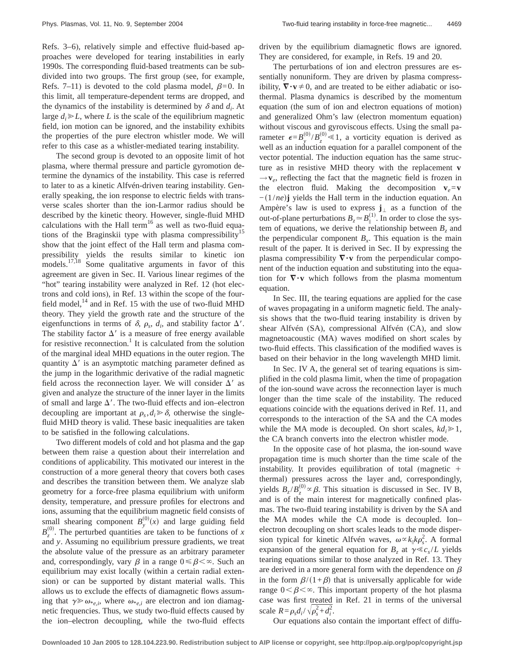Refs. 3–6), relatively simple and effective fluid-based approaches were developed for tearing instabilities in early 1990s. The corresponding fluid-based treatments can be subdivided into two groups. The first group (see, for example, Refs. 7–11) is devoted to the cold plasma model,  $\beta=0$ . In this limit, all temperature-dependent terms are dropped, and the dynamics of the instability is determined by  $\delta$  and  $d_i$ . At large  $d_i \ge L$ , where *L* is the scale of the equilibrium magnetic field, ion motion can be ignored, and the instability exhibits the properties of the pure electron whistler mode. We will refer to this case as a whistler-mediated tearing instability.

The second group is devoted to an opposite limit of hot plasma, where thermal pressure and particle gyromotion determine the dynamics of the instability. This case is referred to later to as a kinetic Alfvén-driven tearing instability. Generally speaking, the ion response to electric fields with transverse scales shorter than the ion-Larmor radius should be described by the kinetic theory. However, single-fluid MHD calculations with the Hall term<sup>16</sup> as well as two-fluid equations of the Braginskii type with plasma compressibility<sup>15</sup> show that the joint effect of the Hall term and plasma compressibility yields the results similar to kinetic ion models.<sup>17,18</sup> Some qualitative arguments in favor of this agreement are given in Sec. II. Various linear regimes of the "hot" tearing instability were analyzed in Ref. 12 (hot electrons and cold ions), in Ref. 13 within the scope of the fourfield model, $^{14}$  and in Ref. 15 with the use of two-fluid MHD theory. They yield the growth rate and the structure of the eigenfunctions in terms of  $\delta$ ,  $\rho_s$ ,  $d_i$ , and stability factor  $\Delta'$ . The stability factor  $\Delta'$  is a measure of free energy available for resistive reconnection.<sup>1</sup> It is calculated from the solution of the marginal ideal MHD equations in the outer region. The quantity  $\Delta'$  is an asymptotic matching parameter defined as the jump in the logarithmic derivative of the radial magnetic field across the reconnection layer. We will consider  $\Delta'$  as given and analyze the structure of the inner layer in the limits of small and large  $\Delta'$ . The two-fluid effects and ion–electron decoupling are important at  $\rho_s, d_i \geq \delta$ , otherwise the singlefluid MHD theory is valid. These basic inequalities are taken to be satisfied in the following calculations.

Two different models of cold and hot plasma and the gap between them raise a question about their interrelation and conditions of applicability. This motivated our interest in the construction of a more general theory that covers both cases and describes the transition between them. We analyze slab geometry for a force-free plasma equilibrium with uniform density, temperature, and pressure profiles for electrons and ions, assuming that the equilibrium magnetic field consists of small shearing component  $B_{y}^{(0)}$  $s_{\nu}^{(0)}(x)$  and large guiding field  $B_z^{(0)}$ . The perturbed quantities are taken to be functions of *x* and *y*. Assuming no equilibrium pressure gradients, we treat the absolute value of the pressure as an arbitrary parameter and, correspondingly, vary  $\beta$  in a range  $0 \leq \beta \leq \infty$ . Such an equilibrium may exist locally (within a certain radial extension) or can be supported by distant material walls. This allows us to exclude the effects of diamagnetic flows assuming that  $\gamma \gg \omega_{*,e,i}$ , where  $\omega_{*,e,i}$  are electron and ion diamagnetic frequencies. Thus, we study two-fluid effects caused by the ion–electron decoupling, while the two-fluid effects driven by the equilibrium diamagnetic flows are ignored. They are considered, for example, in Refs. 19 and 20.

The perturbations of ion and electron pressures are essentially nonuniform. They are driven by plasma compressibility,  $\nabla \cdot \mathbf{v} \neq 0$ , and are treated to be either adiabatic or isothermal. Plasma dynamics is described by the momentum equation (the sum of ion and electron equations of motion) and generalized Ohm's law (electron momentum equation) without viscous and gyroviscous effects. Using the small parameter  $\epsilon = B_y^0$  $\int_{y}^{(0)}/B_{z}^{(0)}$  < 1, a vorticity equation is derived as well as an induction equation for a parallel component of the vector potential. The induction equation has the same structure as in resistive MHD theory with the replacement **v**  $\rightarrow$ **v**<sub>*e*</sub>, reflecting the fact that the magnetic field is frozen in the electron fluid. Making the decomposition  $v_e = v$ −(1/*ne*)**j** yields the Hall term in the induction equation. An Ampère's law is used to express  $j_{\perp}$  as a function of the out-of-plane perturbations  $B_z \approx B_{\parallel}^{(1)}$ . In order to close the system of equations, we derive the relationship between  $B<sub>z</sub>$  and the perpendicular component  $B_x$ . This equation is the main result of the paper. It is derived in Sec. II by expressing the plasma compressibility  $\nabla \cdot \mathbf{v}$  from the perpendicular component of the induction equation and substituting into the equation for  $\nabla \cdot \mathbf{v}$  which follows from the plasma momentum equation.

In Sec. III, the tearing equations are applied for the case of waves propagating in a uniform magnetic field. The analysis shows that the two-fluid tearing instability is driven by shear Alfvén (SA), compressional Alfvén (CA), and slow magnetoacoustic (MA) waves modified on short scales by two-fluid effects. This classification of the modified waves is based on their behavior in the long wavelength MHD limit.

In Sec. IV A, the general set of tearing equations is simplified in the cold plasma limit, when the time of propagation of the ion-sound wave across the reconnection layer is much longer than the time scale of the instability. The reduced equations coincide with the equations derived in Ref. 11, and corresponds to the interaction of the SA and the CA modes while the MA mode is decoupled. On short scales,  $kd_i \ge 1$ , the CA branch converts into the electron whistler mode.

In the opposite case of hot plasma, the ion-sound wave propagation time is much shorter than the time scale of the instability. It provides equilibration of total (magnetic  $+$ thermal) pressures across the layer and, correspondingly, yields  $B_z/B_z^{(0)} \propto \beta$ . This situation is discussed in Sec. IV B, and is of the main interest for magnetically confined plasmas. The two-fluid tearing instability is driven by the SA and the MA modes while the CA mode is decoupled. Ion– electron decoupling on short scales leads to the mode dispersion typical for kinetic Alfvén waves,  $\omega \propto k_{\parallel} k \rho_s^2$ . A formal expansion of the general equation for  $B_7$  at  $\gamma \ll c_s/L$  yields tearing equations similar to those analyzed in Ref. 13. They are derived in a more general form with the dependence on  $\beta$ in the form  $\beta/(1+\beta)$  that is universally applicable for wide range  $0<\beta<\infty$ . This important property of the hot plasma case was first treated in Ref. 21 in terms of the universal scale  $R = \rho_s d_i / \sqrt{\rho_s^2 + d_i^2}$ .

Our equations also contain the important effect of diffu-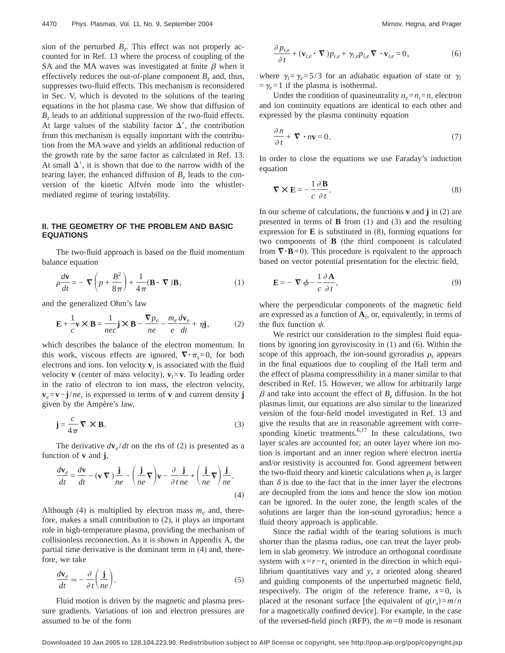sion of the perturbed  $B_z$ . This effect was not properly accounted for in Ref. 13 where the process of coupling of the SA and the MA waves was investigated at finite  $\beta$  when it effectively reduces the out-of-plane component  $B<sub>z</sub>$  and, thus, suppresses two-fluid effects. This mechanism is reconsidered in Sec. V, which is devoted to the solutions of the tearing equations in the hot plasma case. We show that diffusion of *Bz* leads to an additional suppression of the two-fluid effects. At large values of the stability factor  $\Delta'$ , the contribution from this mechanism is equally important with the contribution from the MA wave and yields an additional reduction of the growth rate by the same factor as calculated in Ref. 13. At small  $\Delta'$ , it is shown that due to the narrow width of the tearing layer, the enhanced diffusion of  $B<sub>z</sub>$  leads to the conversion of the kinetic Alfvén mode into the whistlermediated regime of tearing instability.

## **II. THE GEOMETRY OF THE PROBLEM AND BASIC EQUATIONS**

The two-fluid approach is based on the fluid momentum balance equation

$$
\rho \frac{d\mathbf{v}}{dt} = -\nabla \left( p + \frac{B^2}{8\pi} \right) + \frac{1}{4\pi} (\mathbf{B} \cdot \nabla) \mathbf{B},\tag{1}
$$

and the generalized Ohm's law

$$
\mathbf{E} + \frac{1}{c} \mathbf{v} \times \mathbf{B} = \frac{1}{nec} \mathbf{j} \times \mathbf{B} - \frac{\nabla p_e}{ne} - \frac{m_e}{e} \frac{d\mathbf{v}_e}{dt} + \eta \mathbf{j},\tag{2}
$$

which describes the balance of the electron momentum. In this work, viscous effects are ignored,  $\nabla \cdot \pi_s = 0$ , for both electrons and ions. Ion velocity  $\mathbf{v}_i$  is associated with the fluid velocity **v** (center of mass velocity),  $\mathbf{v}_i = \mathbf{v}$ . To leading order in the ratio of electron to ion mass, the electron velocity,  $\mathbf{v}_e = \mathbf{v} - \mathbf{j}/ne$ , is expressed in terms of **v** and current density **j** given by the Ampère's law,

$$
\mathbf{j} = \frac{c}{4\pi} \nabla \times \mathbf{B}.
$$
 (3)

The derivative  $d\mathbf{v}_e/dt$  on the rhs of (2) is presented as a function of **v** and **j**,

$$
\frac{d\mathbf{v}_e}{dt} = \frac{d\mathbf{v}}{dt} - (\mathbf{v}\,\nabla)\frac{\mathbf{j}}{ne} - \left(\frac{\mathbf{j}}{ne}\nabla\right)\mathbf{v} - \frac{\partial}{\partial t}\frac{\mathbf{j}}{ne} + \left(\frac{\mathbf{j}}{ne}\nabla\right)\frac{\mathbf{j}}{ne}.
$$
\n(4)

Although (4) is multiplied by electron mass  $m_e$  and, therefore, makes a small contribution to (2), it plays an important role in high-temperature plasma, providing the mechanism of collisionless reconnection. As it is shown in Appendix A, the partial time derivative is the dominant term in (4) and, therefore, we take

$$
\frac{d\mathbf{v}_e}{dt} \simeq -\frac{\partial}{\partial t} \left( \frac{\mathbf{j}}{ne} \right). \tag{5}
$$

Fluid motion is driven by the magnetic and plasma pressure gradients. Variations of ion and electron pressures are assumed to be of the form

$$
\frac{\partial p_{i,e}}{\partial t} + (\mathbf{v}_{i,e} \cdot \nabla) p_{i,e} + \gamma_{i,e} p_{i,e} \nabla \cdot \mathbf{v}_{i,e} = 0, \qquad (6)
$$

where  $\gamma_i = \gamma_e = 5/3$  for an adiabatic equation of state or  $\gamma_i$  $=\gamma_e=1$  if the plasma is isothermal.

Under the condition of quasineutrality  $n_e = n_i = n$ , electron and ion continuity equations are identical to each other and expressed by the plasma continuity equation

$$
\frac{\partial n}{\partial t} + \nabla \cdot n \mathbf{v} = 0.
$$
 (7)

In order to close the equations we use Faraday's induction equation

$$
\nabla \times \mathbf{E} = -\frac{1}{c} \frac{\partial \mathbf{B}}{\partial t}.
$$
 (8)

In our scheme of calculations, the functions **v** and **j** in (2) are presented in terms of **B** from (1) and (3) and the resulting expression for **E** is substituted in (8), forming equations for two components of **B** (the third component is calculated from  $\nabla \cdot \mathbf{B} = 0$ ). This procedure is equivalent to the approach based on vector potential presentation for the electric field,

$$
\mathbf{E} = -\nabla \phi - \frac{1}{c} \frac{\partial \mathbf{A}}{\partial t},\tag{9}
$$

where the perpendicular components of the magnetic field are expressed as a function of  $A_{\parallel}$ , or, equivalently, in terms of the flux function  $\psi$ .

We restrict our consideration to the simplest fluid equations by ignoring ion gyroviscosity in (1) and (6). Within the scope of this approach, the ion-sound gyroradius  $\rho_s$  appears in the final equations due to coupling of the Hall term and the effect of plasma compressibility in a maner similar to that described in Ref. 15. However, we allow for arbitrarily large  $\beta$  and take into account the effect of  $B_7$  diffusion. In the hot plasmas limit, our equations are also similar to the linearized version of the four-field model investigated in Ref. 13 and give the results that are in reasonable agreement with corresponding kinetic treatments. $6,17$  In these calculations, two layer scales are accounted for; an outer layer where ion motion is important and an inner region where electron inertia and/or resistivity is accounted for. Good agreement between the two-fluid theory and kinetic calculations when  $\rho_s$  is larger than  $\delta$  is due to the fact that in the inner layer the electrons are decoupled from the ions and hence the slow ion motion can be ignored. In the outer zone, the length scales of the solutions are larger than the ion-sound gyroradius; hence a fluid theory approach is applicable.

Since the radial width of the tearing solutions is much shorter than the plasma radius, one can treat the layer problem in slab geometry. We introduce an orthogonal coordinate system with  $x = r - r_s$  oriented in the direction in which equilibrium quantitatives vary and *y*, *z* oriented along sheared and guiding components of the unperturbed magnetic field, respectively. The origin of the reference frame,  $x=0$ , is placed at the resonant surface [the equivalent of  $q(r_s) = m/n$ for a magnetically confined device]. For example, in the case of the reversed-field pinch (RFP), the *m*=0 mode is resonant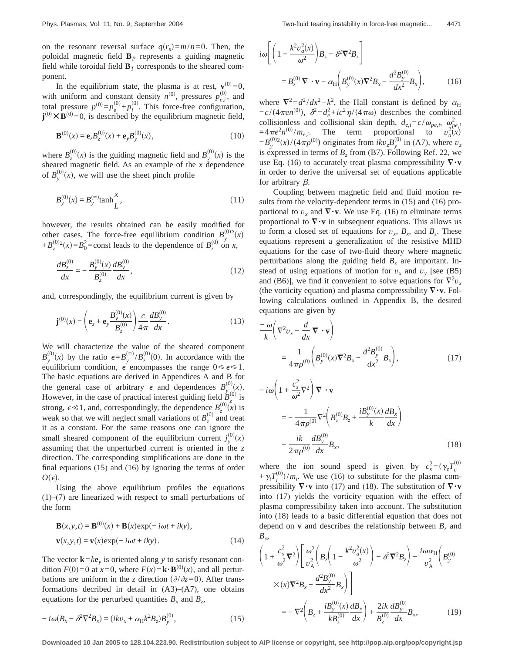on the resonant reversal surface  $q(r_s) = m/n = 0$ . Then, the poloidal magnetic field **B***<sup>P</sup>* represents a guiding magnetic field while toroidal field  $\mathbf{B}_T$  corresponds to the sheared component.

In the equilibrium state, the plasma is at rest,  $\mathbf{v}^{(0)} = 0$ , with uniform and constant density  $n^{(0)}$ , pressures  $p_{e,i}^{(0)}$ , and total pressure  $p^{(0)} = p_e^{(0)} + p_i^{(0)}$ . This force-free configuration,  $\mathbf{j}^{(0)} \times \mathbf{B}^{(0)} = 0$ , is described by the equilibrium magnetic field,

$$
\mathbf{B}^{(0)}(x) = \mathbf{e}_z B_z^{(0)}(x) + \mathbf{e}_y B_y^{(0)}(x), \qquad (10)
$$

where  $B_z^{(0)}(x)$  is the guiding magnetic field and  $B_y^{(0)}$  $\binom{0}{y}$  is the sheared magnetic field. As an example of the *x* dependence of *B y*  $s_{\rm v}^{(0)}(x)$ , we will use the sheet pinch profile

$$
B_{y}^{(0)}(x) = B_{y}^{(\infty)} \tanh \frac{x}{L},
$$
\n(11)

however, the results obtained can be easily modified for other cases. The force-free equilibrium condition  $B_y^{(0)2}(x)$  $+ B_z^{(0)}(x) = B_0^2$  = const leads to the dependence of  $B_z^{(0)}$  on *x*,

$$
\frac{dB_z^{(0)}}{dx} = -\frac{B_y^{(0)}(x)}{B_z^{(0)}} \frac{dB_y^{(0)}}{dx},\tag{12}
$$

and, correspondingly, the equilibrium current is given by

$$
\mathbf{j}^{(0)}(x) = \left(\mathbf{e}_z + \mathbf{e}_y \frac{B_y^{(0)}(x)}{B_z^{(0)}}\right) \frac{c}{4\pi} \frac{dB_y^{(0)}}{dx}.
$$
 (13)

We will characterize the value of the sheared component *B y*  $s_y^{(0)}(x)$  by the ratio  $\epsilon = B_y^{(0)}$  $\int_{y}^{(\infty)}/B_{z}^{(0)}(0)$ . In accordance with the equilibrium condition,  $\epsilon$  encompasses the range  $0 \leq \epsilon \leq 1$ . The basic equations are derived in Appendices A and B for the general case of arbitrary  $\epsilon$  and dependences  $B_{y}^{(0)}$  $\binom{0}{y}(x)$ . However, in the case of practical interest guiding field  $\frac{B^{(0)}}{2}$  is strong,  $\epsilon \ll 1$ , and, correspondingly, the dependence  $B_z^{(0)}(x)$  is weak so that we will neglect small variations of  $B_z^{(0)}$  and treat it as a constant. For the same reasons one can ignore the small sheared component of the equilibrium current  $j_y^0$  $\binom{0}{y}(x)$ assuming that the unperturbed current is oriented in the *z* direction. The corresponding simplifications are done in the final equations (15) and (16) by ignoring the terms of order  $O(\epsilon)$ .

Using the above equilibrium profiles the equations (1)–(7) are linearized with respect to small perturbations of the form

$$
\mathbf{B}(x, y, t) = \mathbf{B}^{(0)}(x) + \mathbf{B}(x) \exp(-i\omega t + iky),
$$
  
\n
$$
\mathbf{v}(x, y, t) = \mathbf{v}(x) \exp(-i\omega t + iky).
$$
 (14)

The vector  $\mathbf{k} = k\mathbf{e}_y$  is oriented along y to satisfy resonant condition  $F(0)=0$  at  $x=0$ , where  $F(x)=\mathbf{k} \cdot \mathbf{B}^{(0)}(x)$ , and all perturbations are uniform in the *z* direction ( $\partial/\partial z=0$ ). After transformations decribed in detail in  $(A3)$ – $(A7)$ , one obtains equations for the perturbed quantities  $B_x$  and  $B_z$ ,

$$
-i\omega(B_x - \delta^2 \nabla^2 B_x) = (ikv_x + \alpha_H k^2 B_z)B_y^{(0)},
$$
\n(15)

$$
i\omega \left[ \left( 1 - \frac{k^2 v_a^2(x)}{\omega^2} \right) B_z - \delta^2 \nabla^2 B_z \right]
$$
  
=  $B_z^{(0)} \nabla \cdot \mathbf{v} - \alpha_H \left( B_y^{(0)}(x) \nabla^2 B_x - \frac{d^2 B_y^{(0)}}{dx^2} B_x \right),$  (16)

where  $\nabla^2 = d^2/dx^2 - k^2$ , the Hall constant is defined by  $\alpha_H$  $= c/(4\pi en^{(0)})$ ,  $\delta^2 = d_e^2 + ic^2 \eta/(4\pi \omega)$  describes the combined collisionless and collisional skin depth,  $d_{e,i} = c/\omega_{pe,i}$ ,  $\omega_{pe,i}^2$  $=4\pi e^2 n^{(0)}/m_{e,i}$ . The term proportional to  $v_a^2(x)$  $=$ B<sub>y</sub><sup>(0)</sup><sub>2</sub>(x)/(4 $\pi p$ <sup>(0)</sup>) originates from *ikv*<sub>z</sub>B<sub>y</sub><sup>(0)</sup> in (A7), where *v*<sub>z</sub> is expressed in terms of  $B<sub>z</sub>$  from (B7). Following Ref. 22, we use Eq. (16) to accurately treat plasma compressibility  $\nabla \cdot \mathbf{v}$ in order to derive the universal set of equations applicable for arbitrary  $\beta$ .

Coupling between magnetic field and fluid motion results from the velocity-dependent terms in (15) and (16) proportional to  $v_x$  and  $\nabla \cdot v$ . We use Eq. (16) to eliminate terms proportional to  $\nabla \cdot \mathbf{v}$  in subsequent equations. This allows us to form a closed set of equations for  $v_x$ ,  $B_x$ , and  $B_z$ . These equations represent a generalization of the resistive MHD equations for the case of two-fluid theory where magnetic perturbations along the guiding field  $B<sub>z</sub>$  are important. Instead of using equations of motion for  $v_x$  and  $v_y$  [see (B5) and (B6)], we find it convenient to solve equations for  $\nabla^2 v_x$ (the vorticity equation) and plasma compressibility  $\nabla \cdot \mathbf{v}$ . Following calculations outlined in Appendix B, the desired equations are given by

$$
\frac{-\omega}{k} \left( \nabla^2 v_x - \frac{d}{dx} \nabla \cdot \mathbf{v} \right)
$$
\n
$$
= \frac{1}{4\pi \rho^{(0)}} \left( B_y^{(0)}(x) \nabla^2 B_x - \frac{d^2 B_y^{(0)}}{dx^2} B_x \right),
$$
\n
$$
-i\omega \left( 1 + \frac{c_s^2}{\omega^2} \nabla^2 \right) \nabla \cdot \mathbf{v}
$$
\n
$$
= -\frac{1}{4\pi \rho^{(0)}} \nabla^2 \left( B_z^{(0)} B_z + \frac{i B_y^{(0)}(x)}{k} \frac{d B_x}{dx} \right)
$$
\n
$$
i\omega d B_z^{(0)}
$$
\n(17)

$$
+\frac{ik}{2\pi\rho^{(0)}}\frac{dB_{y}^{(0)}}{dx}B_{x},\qquad(18)
$$

where the ion sound speed is given by  $c_s^2 = (\gamma_e T_e^{(0)})$  $+\gamma_i T_i^{(0)}/m_i$ . We use (16) to substitute for the plasma compressibility  $\nabla \cdot \mathbf{v}$  into (17) and (18). The substitution of  $\nabla \cdot \mathbf{v}$ into (17) yields the vorticity equation with the effect of plasma compressibility taken into account. The substitution into (18) leads to a basic differential equation that does not depend on **v** and describes the relationship between  $B<sub>z</sub>$  and *Bx*,

$$
\left(1+\frac{c_s^2}{\omega^2}\nabla^2\right)\left[\frac{\omega^2}{v_A^2}\left(B_z\left(1-\frac{k^2v_a^2(x)}{\omega^2}\right)-\delta^2\nabla^2B_z\right)-\frac{i\omega\alpha_H}{v_A^2}\left(B_y^{(0)}\right)\right]
$$

$$
\times(x)\nabla^2B_x-\frac{d^2B_y^{(0)}}{dx^2}B_x\right)\bigg]
$$

$$
=-\nabla^2\left(B_z+\frac{iB_y^{(0)}(x)}{kB_z^{(0)}}\frac{dB_x}{dx}\right)+\frac{2ik}{B_z^{(0)}}\frac{dB_y^{(0)}}{dx}B_x,\qquad(19)
$$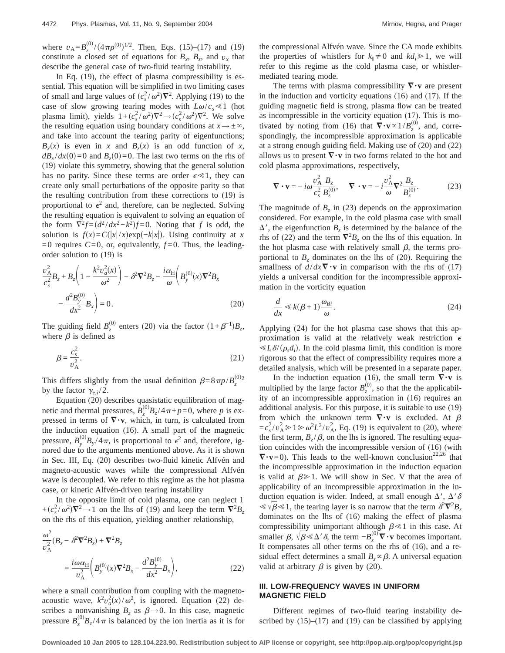where  $v_A = B_z^{(0)}/(4\pi\rho^{(0)})^{1/2}$ . Then, Eqs. (15)–(17) and (19) constitute a closed set of equations for  $B_x$ ,  $B_z$ , and  $v_x$  that describe the general case of two-fluid tearing instability.

In Eq. (19), the effect of plasma compressibility is essential. This equation will be simplified in two limiting cases of small and large values of  $(c_s^2 / \omega^2) \nabla^2$ . Applying (19) to the case of slow growing tearing modes with  $L\omega/c_s \ll 1$  (hot plasma limit), yields  $1 + (c_s^2 / \omega^2) \nabla^2 \rightarrow (c_s^2 / \omega^2) \nabla^2$ . We solve the resulting equation using boundary conditions at  $x \rightarrow \pm \infty$ , and take into account the tearing parity of eigenfunctions;  $B_r(x)$  is even in *x* and  $B_r(x)$  is an odd function of *x*,  $dB_x/dx(0)=0$  and  $B_z(0)=0$ . The last two terms on the rhs of (19) violate this symmetry, showing that the general solution has no parity. Since these terms are order  $\epsilon \ll 1$ , they can create only small perturbations of the opposite parity so that the resulting contribution from these corrections to (19) is proportional to  $\epsilon^2$  and, therefore, can be neglected. Solving the resulting equation is equivalent to solving an equation of the form  $\nabla^2 f = (d^2/dx^2 - k^2)f = 0$ . Noting that *f* is odd, the solution is  $f(x) = C(|x|/x) \exp(-k|x|)$ . Using continuity at *x*  $=0$  requires  $C=0$ , or, equivalently,  $f=0$ . Thus, the leadingorder solution to (19) is

$$
\frac{v_A^2}{c_s^2} B_z + B_z \left( 1 - \frac{k^2 v_a^2(x)}{\omega^2} \right) - \delta^2 \nabla^2 B_z - \frac{i \alpha_H}{\omega} \left( B_y^{(0)}(x) \nabla^2 B_x - \frac{d^2 B_y^{(0)}}{dx^2} B_x \right) = 0.
$$
\n(20)

The guiding field  $B_z^{(0)}$  enters (20) via the factor  $(1+\beta^{-1})B_z$ , where  $\beta$  is defined as

$$
\beta = \frac{c_s^2}{v_A^2}.\tag{21}
$$

This differs slightly from the usual definition  $\beta=8\pi p/B_z^{(0)}z$ by the factor  $\gamma_{e,i}/2$ .

Equation (20) describes quasistatic equilibration of magnetic and thermal pressures,  $\hat{B}_z^{(0)}B_z/4\pi + p=0$ , where *p* is expressed in terms of  $\nabla \cdot v$ , which, in turn, is calculated from the induction equation (16). A small part of the magnetic pressure, *B y*  $\int_{\gamma}^{(0)} B_y / 4\pi$ , is proportional to  $\epsilon^2$  and, therefore, ignored due to the arguments mentioned above. As it is shown in Sec. III, Eq. (20) describes two-fluid kinetic Alfvén and magneto-acoustic waves while the compressional Alfvén wave is decoupled. We refer to this regime as the hot plasma case, or kinetic Alfvén-driven tearing instability

In the opposite limit of cold plasma, one can neglect 1  $+(c_s^2/\omega^2)\nabla^2 \rightarrow 1$  on the lhs of (19) and keep the term  $\nabla^2 B_z$ on the rhs of this equation, yielding another relationship,

$$
\frac{\omega^2}{\omega_A^2} (B_z - \delta^2 \nabla^2 B_z) + \nabla^2 B_z
$$
  
= 
$$
\frac{i \omega \alpha_H}{\omega_A^2} \left( B_y^{(0)}(x) \nabla^2 B_x - \frac{d^2 B_y^{(0)}}{dx^2} B_x \right),
$$
 (22)

where a small contribution from coupling with the magnetoacoustic wave,  $k^2 v_a^2(x) / \omega^2$ , is ignored. Equation (22) describes a nonvanishing  $B_z$  as  $\beta \rightarrow 0$ . In this case, magnetic pressure  $B_z^{(0)}B_z/4\pi$  is balanced by the ion inertia as it is for

the compressional Alfvén wave. Since the CA mode exhibits the properties of whistlers for  $k_{\parallel} \neq 0$  and  $kd_{\parallel} \geq 1$ , we will refer to this regime as the cold plasma case, or whistlermediated tearing mode.

The terms with plasma compressibility  $\nabla \cdot \mathbf{v}$  are present in the induction and vorticity equations (16) and (17). If the guiding magnetic field is strong, plasma flow can be treated as incompressible in the vorticity equation (17). This is motivated by noting from (16) that  $\vec{\nabla} \cdot \mathbf{v} \propto 1/B_z^{(0)}$ , and, correspondingly, the incompressible approximation is applicable at a strong enough guiding field. Making use of (20) and (22) allows us to present  $\nabla \cdot \mathbf{v}$  in two forms related to the hot and cold plasma approximations, respectively,

$$
\nabla \cdot \mathbf{v} = -i\omega \frac{v_A^2}{c_s^2} \frac{B_z}{B_z^{(0)}}, \quad \nabla \cdot \mathbf{v} = -i \frac{v_A^2}{\omega} \nabla^2 \frac{B_z}{B_z^{(0)}}.
$$
 (23)

The magnitude of  $B_7$  in (23) depends on the approximation considered. For example, in the cold plasma case with small  $\Delta'$ , the eigenfunction  $B_z$  is determined by the balance of the rhs of (22) and the term  $\nabla^2 B_z$  on the lhs of this equation. In the hot plasma case with relatively small  $\beta$ , the terms proportional to  $B<sub>z</sub>$  dominates on the lhs of (20). Requiring the smallness of  $d/dx\nabla \cdot \mathbf{v}$  in comparison with the rhs of (17) yields a universal condition for the incompressible approximation in the vorticity equation

$$
\frac{d}{dx} \ll k(\beta + 1)\frac{\omega_{Bi}}{\omega}.
$$
\n(24)

Applying (24) for the hot plasma case shows that this approximation is valid at the relatively weak restriction  $\epsilon$  $\ll L\delta/(\rho_s d_i)$ . In the cold plasma limit, this condition is more rigorous so that the effect of compressibility requires more a detailed analysis, which will be presented in a separate paper.

In the induction equation (16), the small term  $\nabla \cdot \mathbf{v}$  is multiplied by the large factor  $B_z^{(0)}$ , so that the the applicability of an incompressible approximation in (16) requires an additional analysis. For this purpose, it is suitable to use (19) from which the unknown term  $\nabla \cdot \mathbf{v}$  is excluded. At  $\beta$  $=c_s^2/v_A^2 \ge 1 \ge \omega^2 L^2/v_A^2$ , Eq. (19) is equivalent to (20), where the first term,  $B_z/\beta$ , on the lhs is ignored. The resulting equation coincides with the incompressible version of (16) (with  $\nabla \cdot \mathbf{v} = 0$ ). This leads to the well-known conclusion<sup>22,26</sup> that the incompressible approximation in the induction equation is valid at  $\beta \geq 1$ . We will show in Sec. V that the area of applicability of an incompressible approximation in the induction equation is wider. Indeed, at small enough  $\Delta'$ ,  $\Delta' \delta$  $\ll \sqrt{\beta} \ll 1$ , the tearing layer is so narrow that the term  $\delta^2 \nabla^2 B_z$ dominates on the lhs of (16) making the effect of plasma compressibility unimportant although  $\beta \ll 1$  in this case. At smaller  $\beta$ ,  $\sqrt{\beta} \ll \Delta' \delta$ , the term  $-B_z^{(0)}\nabla \cdot \mathbf{v}$  becomes important. It compensates all other terms on the rhs of (16), and a residual effect determines a small  $B_z \propto \beta$ . A universal equation valid at arbitrary  $\beta$  is given by (20).

# **III. LOW-FREQUENCY WAVES IN UNIFORM MAGNETIC FIELD**

Different regimes of two-fluid tearing instability described by  $(15)$ – $(17)$  and  $(19)$  can be classified by applying

**Downloaded 10 Jan 2005 to 128.104.223.90. Redistribution subject to AIP license or copyright, see http://pop.aip.org/pop/copyright.jsp**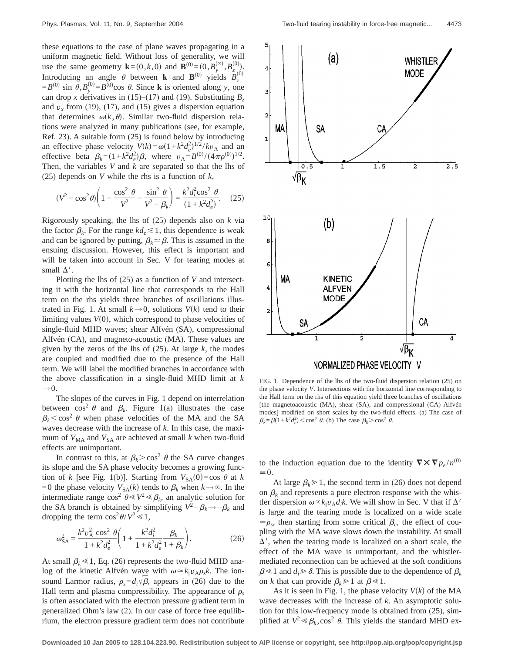these equations to the case of plane waves propagating in a uniform magnetic field. Without loss of generality, we will use the same geometry **k**= $(0, k, 0)$  and **B**<sup>(0)</sup>= $(0, B_y^0)$  $S_{y}^{(\infty)}, B_{z}^{(0)}$ <sub>c</sub> Introducing an angle  $\theta$  between **k** and **B**<sup>(0)</sup> yields  $B_z^{(0)}$  $=B^{(0)}$  sin  $\theta$ ,  $B_{y}^{(0)}$  $S_{v}^{(0)} = B^{(0)} \cos \theta$ . Since **k** is oriented along *y*, one can drop *x* derivatives in (15)–(17) and (19). Substituting  $B_z$ and  $v_x$  from (19), (17), and (15) gives a dispersion equation that determines  $\omega(k, \theta)$ . Similar two-fluid dispersion relations were analyzed in many publications (see, for example, Ref. 23). A suitable form (25) is found below by introducing an effective phase velocity  $V(k) = \omega(1 + k^2 d_e^2)^{1/2} / k v_A$  and an effective beta  $\beta_k = (1 + k^2 d_e^2) \beta$ , where  $v_A = B^{(0)}/(4 \pi \rho^{(0)})^{1/2}$ . Then, the variables *V* and *k* are separated so that the lhs of (25) depends on *V* while the rhs is a function of *k*,

$$
(V^2 - \cos^2 \theta) \left( 1 - \frac{\cos^2 \theta}{V^2} - \frac{\sin^2 \theta}{V^2 - \beta_k} \right) = \frac{k^2 d_i^2 \cos^2 \theta}{(1 + k^2 d_e^2)}.
$$
 (25)

Rigorously speaking, the lhs of (25) depends also on *k* via the factor  $\beta_k$ . For the range  $kd_e \leq 1$ , this dependence is weak and can be ignored by putting,  $\beta_k \simeq \beta$ . This is assumed in the ensuing discussion. However, this effect is important and will be taken into account in Sec. V for tearing modes at small  $\Delta'$ .

Plotting the lhs of (25) as a function of *V* and intersecting it with the horizontal line that corresponds to the Hall term on the rhs yields three branches of oscillations illustrated in Fig. 1. At small  $k \rightarrow 0$ , solutions  $V(k)$  tend to their limiting values  $V(0)$ , which correspond to phase velocities of single-fluid MHD waves; shear Alfvén (SA), compressional Alfvén (CA), and magneto-acoustic (MA). These values are given by the zeros of the lhs of (25). At large *k*, the modes are coupled and modified due to the presence of the Hall term. We will label the modified branches in accordance with the above classification in a single-fluid MHD limit at *k*  $\rightarrow$  0.

The slopes of the curves in Fig. 1 depend on interrelation between  $\cos^2 \theta$  and  $\beta_k$ . Figure 1(a) illustrates the case  $\beta_k$  < cos<sup>2</sup>  $\theta$  when phase velocities of the MA and the SA waves decrease with the increase of *k*. In this case, the maximum of  $V_{\text{MA}}$  and  $V_{\text{SA}}$  are achieved at small *k* when two-fluid effects are unimportant.

In contrast to this, at  $\beta_k$ >cos<sup>2</sup>  $\theta$  the SA curve changes its slope and the SA phase velocity becomes a growing function of *k* [see Fig. 1(b)]. Starting from  $V_{SA}(0) = \cos \theta$  at *k* =0 the phase velocity  $V_{SA}(k)$  tends to  $\beta_k$  when  $k \rightarrow \infty$ . In the intermediate range  $\cos^2 \theta \ll V^2 \ll \beta_k$ , an analytic solution for the SA branch is obtained by simplifying  $V^2 - \beta_k \rightarrow -\beta_k$  and dropping the term  $\cos^2{\theta}/V^2 \ll 1$ ,

$$
\omega_{SA}^2 = \frac{k^2 v_A^2 \cos^2 \theta}{1 + k^2 d_e^2} \left( 1 + \frac{k^2 d_i^2}{1 + k^2 d_e^2} \frac{\beta_k}{1 + \beta_k} \right). \tag{26}
$$

At small  $\beta_k \ll 1$ , Eq. (26) represents the two-fluid MHD analog of the kinetic Alfvén wave with  $\omega \approx k_{\parallel}v_{A}\rho_{s}k$ . The ionsound Larmor radius,  $\rho_s = d_i / \beta$ , appears in (26) due to the Hall term and plasma compressibility. The appearance of  $\rho_s$ is often associated with the electron pressure gradient term in generalized Ohm's law (2). In our case of force free equilibrium, the electron pressure gradient term does not contribute



FIG. 1. Dependence of the lhs of the two-fluid dispersion relation (25) on the phase velocity *V*. Intersections with the horizontal line corresponding to the Hall term on the rhs of this equation yield three branches of oscillations [the magnetoacoustic (MA), shear (SA), and compressional (CA) Alfvén modes] modified on short scales by the two-fluid effects. (a) The case of  $\beta_k = \beta(1 + k^2 d_e^2) < \cos^2 \theta$ . (b) The case  $\beta_k > \cos^2 \theta$ .

to the induction equation due to the identity  $\nabla \times \nabla p_e / n^{(0)}$  $\equiv 0.$ 

At large  $\beta_k \geq 1$ , the second term in (26) does not depend on  $\beta_k$  and represents a pure electron response with the whistler dispersion  $\omega \propto k_{\parallel} v_{\rm A} d_i k$ . We will show in Sec. V that if  $\Delta'$ is large and the tearing mode is localized on a wide scale  $\approx \rho_{\rm c}$ , then starting from some critical  $\beta_c$ , the effect of coupling with the MA wave slows down the instability. At small  $\Delta'$ , when the tearing mode is localized on a short scale, the effect of the MA wave is unimportant, and the whistlermediated reconnection can be achieved at the soft conditions  $\beta \ll 1$  and  $d_i \gg \delta$ . This is possible due to the dependence of  $\beta_k$ on *k* that can provide  $\beta_k \geq 1$  at  $\beta \leq 1$ .

As it is seen in Fig. 1, the phase velocity  $V(k)$  of the MA wave decreases with the increase of *k*. An asymptotic solution for this low-frequency mode is obtained from (25), simplified at  $V^2 \ll \beta_k$ ,  $\cos^2 \theta$ . This yields the standard MHD ex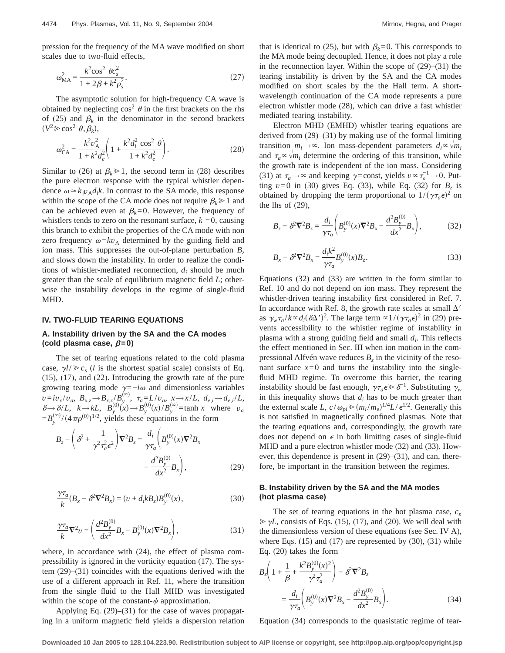pression for the frequency of the MA wave modified on short scales due to two-fluid effects,

$$
\omega_{\rm MA}^2 = \frac{k^2 \cos^2 \theta c_s^2}{1 + 2\beta + k^2 \rho_s^2}.
$$
\n(27)

The asymptotic solution for high-frequency CA wave is obtained by neglecting  $\cos^2 \theta$  in the first brackets on the rhs of (25) and  $\beta_k$  in the denominator in the second brackets  $(V^2 \gg \cos^2 \theta, \beta_k)$ ,

$$
\omega_{\text{CA}}^2 = \frac{k^2 v_{\text{A}}^2}{1 + k^2 d_e^2} \left( 1 + \frac{k^2 d_i^2 \cos^2 \theta}{1 + k^2 d_e^2} \right). \tag{28}
$$

Similar to (26) at  $\beta_k \ge 1$ , the second term in (28) describes the pure electron response with the typical whistler dependence  $\omega \approx k_{\parallel} v_{\rm A} d_i k$ . In contrast to the SA mode, this response within the scope of the CA mode does not require  $\beta_k \geq 1$  and can be achieved even at  $\beta_k=0$ . However, the frequency of whistlers tends to zero on the resonant surface,  $k_{\parallel}=0$ , causing this branch to exhibit the properties of the CA mode with non zero frequency  $\omega = kv_A$  determined by the guiding field and ion mass. This suppresses the out-of-plane perturbation  $B_7$ and slows down the instability. In order to realize the conditions of whistler-mediated reconnection, *di* should be much greater than the scale of equilibrium magnetic field *L*; otherwise the instability develops in the regime of single-fluid MHD.

#### **IV. TWO-FLUID TEARING EQUATIONS**

#### **A. Instability driven by the SA and the CA modes**  $($ **cold plasma case,**  $\beta = 0$  $)$

The set of tearing equations related to the cold plasma case,  $\gamma l \gg c_s$  (*l* is the shortest spatial scale) consists of Eq. (15), (17), and (22). Introducing the growth rate of the pure growing tearing mode  $\gamma = -i\omega$  and dimensionless variables  $v = iv_x/v_a, B_{x,z} \rightarrow B_{x,z} / B_y^{\vee}$  $\int_{y}^{(\infty)}$ ,  $\tau_a = L/v_a$ ,  $x \to x/L$ ,  $d_{e,i} \to d_{e,i}/L$ ,  $\delta \rightarrow \delta/L$ ,  $k \rightarrow kL$ ,  $B_y^0$  $\ddot{B}_y^{(0)}(x) \rightarrow B_y^{(0)}$  $\binom{0}{y}$  (x) / B<sup>(i</sup>)  $\sum_{v=0}^{(\infty)}$  = tanh *x* where *v<sub>a</sub>*  $=$  $B_y^0$  $\int_{0}^{(\infty)} (4\pi \rho^{(0)})^{1/2}$ , yields these equations in the form

$$
B_z - \left(\delta^2 + \frac{1}{\gamma^2 \tau_a^2 \epsilon^2}\right) \nabla^2 B_z = \frac{d_i}{\gamma \tau_a} \left(B_y^{(0)}(x) \nabla^2 B_x - \frac{d^2 B_y^{(0)}}{dx^2} B_x\right),\tag{29}
$$

$$
\frac{\gamma \tau_a}{k} (B_x - \delta^2 \nabla^2 B_x) = (v + d_i k B_z) B_y^{(0)}(x), \qquad (30)
$$

$$
\frac{\gamma \tau_a}{k} \nabla^2 v = \left( \frac{d^2 B_y^{(0)}}{dx^2} B_x - B_y^{(0)}(x) \nabla^2 B_x \right),\tag{31}
$$

where, in accordance with (24), the effect of plasma compressibility is ignored in the vorticity equation (17). The system (29)–(31) coincides with the equations derived with the use of a different approach in Ref. 11, where the transition from the single fluid to the Hall MHD was investigated within the scope of the constant- $\psi$  approximation.

Applying Eq. (29)–(31) for the case of waves propagating in a uniform magnetic field yields a dispersion relation that is identical to (25), but with  $\beta_k=0$ . This corresponds to the MA mode being decoupled. Hence, it does not play a role in the reconnection layer. Within the scope of (29)–(31) the tearing instability is driven by the SA and the CA modes modified on short scales by the the Hall term. A shortwavelength continuation of the CA mode represents a pure electron whistler mode (28), which can drive a fast whistler mediated tearing instability.

Electron MHD (EMHD) whistler tearing equations are derived from (29)–(31) by making use of the formal limiting transition  $m_i \rightarrow \infty$ . Ion mass-dependent parameters  $d_i \propto \sqrt{m_i}$ and  $\tau_a \propto \sqrt{m_i}$  determine the ordering of this transition, while the growth rate is independent of the ion mass. Considering (31) at  $\tau_a \rightarrow \infty$  and keeping  $\gamma$ =const, yields  $v \propto \tau_a^{-1} \rightarrow 0$ . Putting  $v=0$  in (30) gives Eq. (33), while Eq. (32) for  $B_z$  is obtained by dropping the term proportional to  $1/(\gamma \tau_a \epsilon)^2$  on the lhs of (29),

$$
B_z - \delta^2 \nabla^2 B_z = \frac{d_i}{\gamma \tau_a} \left( B_y^{(0)}(x) \nabla^2 B_x - \frac{d^2 B_y^{(0)}}{dx^2} B_x \right),\tag{32}
$$

$$
B_x - \delta^2 \nabla^2 B_x = \frac{d_i k^2}{\gamma \tau_a} B_y^{(0)}(x) B_z.
$$
 (33)

Equations (32) and (33) are written in the form similar to Ref. 10 and do not depend on ion mass. They represent the whistler-driven tearing instability first considered in Ref. 7. In accordance with Ref. 8, the growth rate scales at small  $\Delta'$ as  $\gamma_w \tau_a / k \propto d_i (\delta \Delta')^2$ . The large term  $\propto 1 / (\gamma \tau_a \epsilon)^2$  in (29) prevents accessibility to the whistler regime of instability in plasma with a strong guiding field and small  $d_i$ . This reflects the effect mentioned in Sec. III when ion motion in the compressional Alfvén wave reduces  $B<sub>z</sub>$  in the vicinity of the resonant surface  $x=0$  and turns the instability into the singlefluid MHD regime. To overcome this barrier, the tearing instability should be fast enough,  $\gamma\tau_a\epsilon\geq \delta^{-1}$ . Substituting γ<sub>*w*</sub> in this inequality shows that  $d_i$  has to be much greater than the external scale *L*,  $c/\omega_{pi} \gg (m_i/m_e)^{1/4}L/\epsilon^{1/2}$ . Generally this is not satisfied in magnetically confined plasmas. Note that the tearing equations and, correspondingly, the growth rate does not depend on  $\epsilon$  in both limiting cases of single-fluid MHD and a pure electron whistler mode (32) and (33). However, this dependence is present in (29)–(31), and can, therefore, be important in the transition between the regimes.

# **B. Instability driven by the SA and the MA modes (hot plasma case)**

The set of tearing equations in the hot plasma case,  $c_s$  $\gg \gamma L$ , consists of Eqs. (15), (17), and (20). We will deal with the dimensionless version of these equations (see Sec. IV A), where Eqs.  $(15)$  and  $(17)$  are represented by  $(30)$ ,  $(31)$  while Eq. (20) takes the form

$$
B_z \left( 1 + \frac{1}{\beta} + \frac{k^2 B_y^{(0)}(x)^2}{\gamma^2 \tau_a^2} \right) - \delta^2 \nabla^2 B_z
$$
  
= 
$$
\frac{d_i}{\gamma \tau_a} \left( B_y^{(0)}(x) \nabla^2 B_x - \frac{d^2 B_y^{(0)}}{dx^2} B_x \right).
$$
 (34)

Equation (34) corresponds to the quasistatic regime of tear-

**Downloaded 10 Jan 2005 to 128.104.223.90. Redistribution subject to AIP license or copyright, see http://pop.aip.org/pop/copyright.jsp**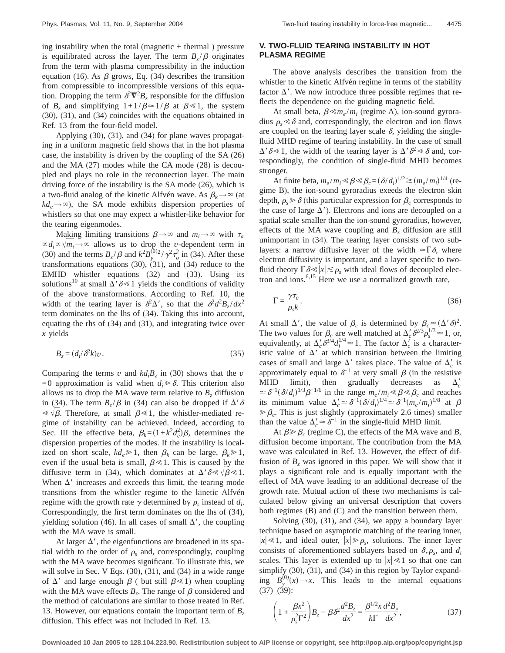ing instability when the total (magnetic  $+$  thermal) pressure is equilibrated across the layer. The term  $B<sub>z</sub>/\beta$  originates from the term with plasma compressibility in the induction equation (16). As  $\beta$  grows, Eq. (34) describes the transition from compressible to incompressible versions of this equation. Dropping the term  $\delta^2 \nabla^2 B_z$  responsible for the diffusion of  $B_z$  and simplifying  $1+1/\beta \approx 1/\beta$  at  $\beta \ll 1$ , the system (30), (31), and (34) coincides with the equations obtained in Ref. 13 from the four-field model.

Applying (30), (31), and (34) for plane waves propagating in a uniform magnetic field shows that in the hot plasma case, the instability is driven by the coupling of the SA (26) and the MA (27) modes while the CA mode (28) is decoupled and plays no role in the reconnection layer. The main driving force of the instability is the SA mode (26), which is a two-fluid analog of the kinetic Alfvén wave. As  $\beta_k \rightarrow \infty$  (at  $kd_e \rightarrow \infty$ ), the SA mode exhibits dispersion properties of whistlers so that one may expect a whistler-like behavior for the tearing eigenmodes.

Making limiting transitions  $\beta \rightarrow \infty$  and  $m_i \rightarrow \infty$  with  $\tau_a$  $\alpha d_i \propto \sqrt{m_i} \rightarrow \infty$  allows us to drop the *v*-dependent term in (30) and the terms  $B_z/\beta$  and  $k^2 B_y^{(0)2}/\gamma^2 \tau_a^2$  in (34). After these transformations equations  $(30)$ ,  $(31)$ , and  $(34)$  reduce to the EMHD whistler equations (32) and (33). Using its solutions<sup>10</sup> at small  $\Delta' \delta \le 1$  yields the conditions of validity of the above transformations. According to Ref. 10, the width of the tearing layer is  $\delta^2 \Delta'$ , so that the  $\delta^2 d^2 B_z/dx^2$ term dominates on the lhs of (34). Taking this into account, equating the rhs of (34) and (31), and integrating twice over *x* yields

$$
B_z = (d_i/\delta^2 k)v. \tag{35}
$$

Comparing the terms *v* and  $k d_i B_z$  in (30) shows that the *v*  $=0$  approximation is valid when  $d_i \geq \delta$ . This criterion also allows us to drop the MA wave term relative to  $B<sub>z</sub>$  diffusion in (34). The term  $B_z/\beta$  in (34) can also be dropped if  $\Delta' \delta$  $\ll \sqrt{\beta}$ . Therefore, at small  $\beta \ll 1$ , the whistler-mediated regime of instability can be achieved. Indeed, according to Sec. III the effective beta,  $\beta_k = (1 + k^2 d_e^2) \beta$ , determines the dispersion properties of the modes. If the instability is localized on short scale,  $kd_e \ge 1$ , then  $\beta_k$  can be large,  $\beta_k \ge 1$ , even if the usual beta is small,  $\beta \ll 1$ . This is caused by the diffusive term in (34), which dominates at  $\Delta' \delta \ll \sqrt{\beta} \ll 1$ . When  $\Delta'$  increases and exceeds this limit, the tearing mode transitions from the whistler regime to the kinetic Alfvén regime with the growth rate  $\gamma$  determined by  $\rho_s$  instead of  $d_i$ . Correspondingly, the first term dominates on the lhs of (34), yielding solution (46). In all cases of small  $\Delta'$ , the coupling with the MA wave is small.

At larger  $\Delta'$ , the eigenfunctions are broadened in its spatial width to the order of  $\rho_s$  and, correspondingly, coupling with the MA wave becomes significant. To illustrate this, we will solve in Sec. V Eqs. (30), (31), and (34) in a wide range of  $\Delta'$  and large enough  $\beta$  ( but still  $\beta \ll 1$ ) when coupling with the MA wave effects  $B_z$ . The range of  $\beta$  considered and the method of calculations are similar to those treated in Ref. 13. However, our equations contain the important term of *Bz* diffusion. This effect was not included in Ref. 13.

# **V. TWO-FLUID TEARING INSTABILITY IN HOT PLASMA REGIME**

The above analysis describes the transition from the whistler to the kinetic Alfvén regime in terms of the stability factor  $\Delta'$ . We now introduce three possible regimes that reflects the dependence on the guiding magnetic field.

At small beta,  $\beta \ll m_e / m_i$  (regime A), ion-sound gyroradius  $\rho_s \leq \delta$  and, correspondingly, the electron and ion flows are coupled on the tearing layer scale  $\delta$ , yielding the singlefluid MHD regime of tearing instability. In the case of small  $\Delta' \delta \leq 1$ , the width of the tearing layer is  $\Delta' \delta^2 \leq \delta$  and, correspondingly, the condition of single-fluid MHD becomes stronger.

At finite beta,  $m_e/m_i \le \beta \le \beta_c = (\delta/d_i)^{1/2} \gtrsim (m_e/m_i)^{1/4}$  (regime B), the ion-sound gyroradius exeeds the electron skin depth,  $\rho_s \geq \delta$  (this particular expression for  $\beta_c$  corresponds to the case of large  $\Delta'$ ). Electrons and ions are decoupled on a spatial scale smaller than the ion-sound gyroradius, however, effects of the MA wave coupling and  $B<sub>z</sub>$  diffusion are still unimportant in (34). The tearing layer consists of two sublayers: a narrow diffusive layer of the width  $\simeq \Gamma \delta$ , where electron diffusivity is important, and a layer specific to twofluid theory  $\Gamma \delta \ll |x| \lesssim \rho_s$  with ideal flows of decoupled electron and ions.6,15 Here we use a normalized growth rate,

$$
\Gamma = \frac{\gamma \tau_a}{\rho_s k}.\tag{36}
$$

At small  $\Delta'$ , the value of  $\beta_c$  is determined by  $\beta_c \approx (\Delta' \delta)^2$ . The two values for  $\beta_c$  are well matched at  $\Delta_c' \delta^{2/3} \rho_s^{1/3} \approx 1$ , or, equivalently, at  $\Delta_c' \delta^{3/4} d_i^{1/4} \simeq 1$ . The factor  $\Delta_c'$  is a characteristic value of  $\Delta'$  at which transition between the limiting cases of small and large  $\Delta'$  takes place. The value of  $\Delta'_{c}$  is approximately equal to  $\delta^{-1}$  at very small  $\beta$  (in the resistive MHD limit), then gradually decreases as  $\Delta_c'$  $\approx \delta^{-1}(\delta/d_i)^{1/3}\beta^{-1/6}$  in the range  $m_e/m_i \ll \beta \ll \beta_c$  and reaches its minimum value  $\Delta_c' \simeq \delta^{-1} (\delta/d_i)^{1/4} \simeq \delta^{-1} (m_e/m_i)^{1/8}$  at  $\beta$  $\gg \beta_c$ . This is just slightly (approximately 2.6 times) smaller than the value  $\Delta'_c \simeq \delta^{-1}$  in the single-fluid MHD limit.

At  $\beta \ge \beta_c$  (regime C), the effects of the MA wave and *B<sub>z</sub>* diffusion become important. The contribution from the MA wave was calculated in Ref. 13. However, the effect of diffusion of  $B<sub>z</sub>$  was ignored in this paper. We will show that it plays a significant role and is equally important with the effect of MA wave leading to an additional decrease of the growth rate. Mutual action of these two mechanisms is calculated below giving an universal description that covers both regimes (B) and (C) and the transition between them.

Solving (30), (31), and (34), we appy a boundary layer technique based on asymptotic matching of the tearing inner,  $|x| \le 1$ , and ideal outer,  $|x| \ge \rho_s$ , solutions. The inner layer consists of aforementioned sublayers based on  $\delta$ ,  $\rho_s$ , and  $d_i$ scales. This layer is extended up to  $|x| \le 1$  so that one can simplify (30), (31), and (34) in this region by Taylor expanding  $B_{y}^{(0)}$  $s_y^{(0)}(x) \rightarrow x$ . This leads to the internal equations  $(37)–(39)$ :

$$
\left(1 + \frac{\beta x^2}{\rho_s^2 \Gamma^2}\right) B_z - \beta \delta^2 \frac{d^2 B_z}{dx^2} = \frac{\beta^{1/2} x}{k \Gamma} \frac{d^2 B_x}{dx^2},\tag{37}
$$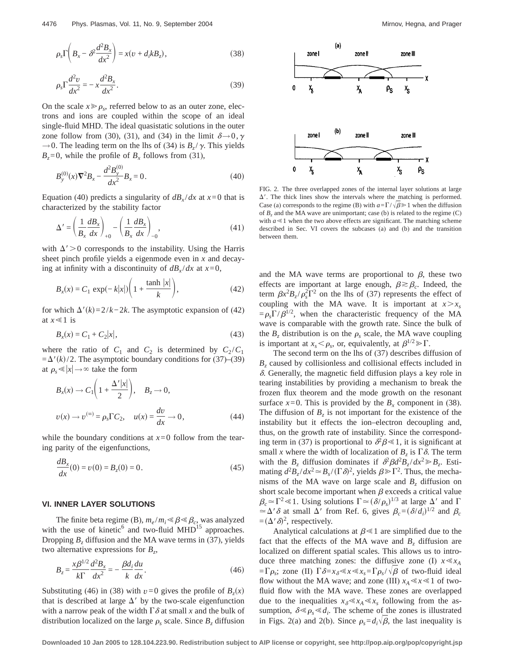$$
\rho_s \Gamma \left( B_x - \delta^2 \frac{d^2 B_x}{dx^2} \right) = x(v + d_i k B_z),\tag{38}
$$

$$
\rho_s \Gamma \frac{d^2 v}{dx^2} = -x \frac{d^2 B_x}{dx^2}.
$$
\n(39)

On the scale  $x \ge \rho_s$ , referred below to as an outer zone, electrons and ions are coupled within the scope of an ideal single-fluid MHD. The ideal quasistatic solutions in the outer zone follow from (30), (31), and (34) in the limit  $\delta \rightarrow 0, \gamma$  $\rightarrow$  0. The leading term on the lhs of (34) is  $B_7/\gamma$ . This yields  $B_z=0$ , while the profile of  $B_x$  follows from (31),

$$
B_{y}^{(0)}(x)\nabla^{2}B_{x} - \frac{d^{2}B_{y}^{(0)}}{dx^{2}}B_{x} = 0.
$$
\n(40)

Equation (40) predicts a singularity of  $dB_x/dx$  at  $x=0$  that is characterized by the stability factor

$$
\Delta' = \left(\frac{1}{B_x}\frac{dB_x}{dx}\right)_{+0} - \left(\frac{1}{B_x}\frac{dB_x}{dx}\right)_{-0},\tag{41}
$$

with  $\Delta' > 0$  corresponds to the instability. Using the Harris sheet pinch profile yields a eigenmode even in *x* and decaying at infinity with a discontinuity of  $dB_x/dx$  at  $x=0$ ,

$$
B_x(x) = C_1 \exp(-k|x|) \left( 1 + \frac{\tanh |x|}{k} \right),
$$
 (42)

for which  $\Delta'(k)=2/k-2k$ . The asymptotic expansion of (42) at  $x \ll 1$  is

$$
B_x(x) = C_1 + C_2|x|,
$$
\n(43)

where the ratio of  $C_1$  and  $C_2$  is determined by  $C_2 / C_1$  $=\Delta'(k)/2$ . The asymptotic boundary conditions for (37)–(39) at  $\rho_s \ll |x| \rightarrow \infty$  take the form

$$
B_x(x) \to C_1\left(1 + \frac{\Delta' |x|}{2}\right), \quad B_z \to 0,
$$
  

$$
v(x) \to v^{(\infty)} = \rho_s \Gamma C_2, \quad u(x) = \frac{dv}{dx} \to 0,
$$
 (44)

while the boundary conditions at  $x=0$  follow from the tearing parity of the eigenfunctions,

$$
\frac{dB_x}{dx}(0) = v(0) = B_z(0) = 0.
$$
\n(45)

#### **VI. INNER LAYER SOLUTIONS**

The finite beta regime (B),  $m_e/m_i \ll \beta \ll \beta_c$ , was analyzed with the use of kinetic<sup>6</sup> and two-fluid MHD<sup>15</sup> approaches. Dropping  $B<sub>z</sub>$  diffusion and the MA wave terms in (37), yields two alternative expressions for  $B<sub>z</sub>$ ,

$$
B_z = \frac{x\beta^{1/2}}{k\Gamma} \frac{d^2B_x}{dx^2} = -\frac{\beta d_i}{k} \frac{du}{dx}.
$$
\n(46)

Substituting (46) in (38) with  $v=0$  gives the profile of  $B_z(x)$ that is described at large  $\Delta'$  by the two-scale eigenfunction with a narrow peak of the width  $\Gamma \delta$  at small *x* and the bulk of distribution localized on the large  $\rho_s$  scale. Since  $B_z$  diffusion



FIG. 2. The three overlapped zones of the internal layer solutions at large  $\Delta'$ . The thick lines show the intervals where the matching is performed. Case (a) corresponds to the regime (B) with  $a = \Gamma/\sqrt{\beta} \ge 1$  when the diffusion of  $B<sub>z</sub>$  and the MA wave are unimportant; case (b) is related to the regime (C) with  $a \ll 1$  when the two above effects are significant. The matching scheme described in Sec. VI covers the subcases (a) and (b) and the transition between them.

and the MA wave terms are proportional to  $\beta$ , these two effects are important at large enough,  $\beta \ge \beta_c$ . Indeed, the term  $\beta x^2 B_z / \rho_s^2 \Gamma^2$  on the lhs of (37) represents the effect of coupling with the MA wave. It is important at  $x > x_s$  $=\rho_s\Gamma/\beta^{1/2}$ , when the characteristic frequency of the MA wave is comparable with the growth rate. Since the bulk of the  $B_7$  distribution is on the  $\rho_s$  scale, the MA wave coupling is important at  $x_s < \rho_s$ , or, equivalently, at  $\beta^{1/2} \gg \Gamma$ .

The second term on the lhs of (37) describes diffusion of *Bz* caused by collisionless and collisional effects included in  $\delta$ . Generally, the magnetic field diffusion plays a key role in tearing instabilities by providing a mechanism to break the frozen flux theorem and the mode growth on the resonant surface  $x=0$ . This is provided by the  $B_x$  component in (38). The diffusion of  $B<sub>z</sub>$  is not important for the existence of the instability but it effects the ion–electron decoupling and, thus, on the growth rate of instability. Since the corresponding term in (37) is proportional to  $\delta^2 \beta \ll 1$ , it is significant at small *x* where the width of localization of  $B_7$  is  $\Gamma \delta$ . The term with the  $B_z$  diffusion dominates if  $\frac{\partial^2 \beta d^2 B_z}{dx^2} \gg B_z$ . Estimating  $d^2B_z/dx^2 \approx B_s/(\Gamma \delta)^2$ , yields  $\beta \gg \Gamma^2$ . Thus, the mechanisms of the MA wave on large scale and  $B<sub>z</sub>$  diffusion on short scale become important when  $\beta$  exceeds a critical value  $\beta_c \approx \Gamma^2 \ll 1$ . Using solutions  $\Gamma \approx (\delta/\rho_s)^{1/3}$  at large  $\Delta'$  and  $\Gamma$  $\approx \Delta' \delta$  at small  $\Delta'$  from Ref. 6, gives  $\beta_c = (\delta/d_i)^{1/2}$  and  $\beta_c$  $=(\Delta' \delta)^2$ , respectively.

Analytical calculations at  $\beta \le 1$  are simplified due to the fact that the effects of the MA wave and  $B<sub>z</sub>$  diffusion are localized on different spatial scales. This allows us to introduce three matching zones: the diffusive zone (I)  $x \ll x_A$  $=\Gamma \rho_s$ ; zone (II)  $\Gamma \delta = x_\delta \ll x \ll x_s = \Gamma \rho_s / \sqrt{\beta}$  of two-fluid ideal flow without the MA wave; and zone (III)  $x_A \ll x \ll 1$  of twofluid flow with the MA wave. These zones are overlapped due to the inequalities  $x_{\delta} \ll x_A \ll x_s$  following from the assumption,  $\delta \ll \rho_s \ll d_i$ . The scheme of the zones is illustrated in Figs. 2(a) and 2(b). Since  $\rho_s = d_i \sqrt{\beta}$ , the last inequality is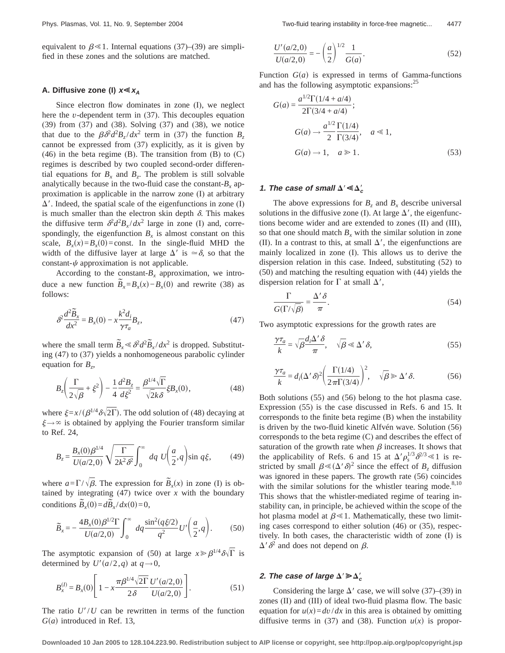equivalent to  $\beta \le 1$ . Internal equations (37)–(39) are simplified in these zones and the solutions are matched.

### **A.** Diffusive zone (I)  $x \ll x_A$

Since electron flow dominates in zone (I), we neglect here the *v*-dependent term in (37). This decouples equation (39) from (37) and (38). Solving (37) and (38), we notice that due to the  $\beta \delta^2 d^2 B_z/dx^2$  term in (37) the function  $B_z$ cannot be expressed from (37) explicitly, as it is given by  $(46)$  in the beta regime (B). The transition from (B) to  $(C)$ regimes is described by two coupled second-order differential equations for  $B_x$  and  $B_z$ . The problem is still solvable analytically because in the two-fluid case the constant- $B_x$  approximation is applicable in the narrow zone (I) at arbitrary  $\Delta'$ . Indeed, the spatial scale of the eigenfunctions in zone (I) is much smaller than the electron skin depth  $\delta$ . This makes the diffusive term  $\frac{\partial^2 d^2B_x}{dx^2}$  large in zone (I) and, correspondingly, the eigenfunction  $B_x$  is almost constant on this scale,  $B_x(x)=B_x(0)$ =const. In the single-fluid MHD the width of the diffusive layer at large  $\Delta'$  is  $\approx \delta$ , so that the constant- $\psi$  approximation is not applicable.

According to the constant- $B_x$  approximation, we introduce a new function  $\overline{B}_x = B_x(x) - B_x(0)$  and rewrite (38) as follows:

$$
\delta^2 \frac{d^2 \widetilde{B}_x}{dx^2} = B_x(0) - x \frac{k^2 d_i}{\gamma \tau_a} B_z,\tag{47}
$$

where the small term  $\widetilde{B}_x \ll \delta^2 d^2 \widetilde{B}_x/dx^2$  is dropped. Substituting (47) to (37) yields a nonhomogeneous parabolic cylinder equation for  $B_z$ ,

$$
B_z \left( \frac{\Gamma}{2\sqrt{\beta}} + \xi^2 \right) - \frac{1}{4} \frac{d^2 B_z}{d\xi^2} = \frac{\beta^{1/4} \sqrt{\Gamma}}{\sqrt{2}k \delta} \xi B_x(0), \tag{48}
$$

where  $\xi = x/(\beta^{1/4}\delta\sqrt{2\Gamma})$ . The odd solution of (48) decaying at  $\xi \rightarrow \infty$  is obtained by applying the Fourier transform similar to Ref. 24,

$$
B_z = \frac{B_x(0)\beta^{1/4}}{U(a/2,0)} \sqrt{\frac{\Gamma}{2k^2 \delta^2}} \int_0^\infty dq \ U\left(\frac{a}{2}, q\right) \sin q\xi, \tag{49}
$$

where  $a = \Gamma/\sqrt{\beta}$ . The expression for  $\tilde{B}_x(x)$  in zone (I) is obtained by integrating  $(47)$  twice over *x* with the boundary conditions  $\tilde{B}_x(0) = d\tilde{B}_x/dx(0) = 0$ ,

$$
\widetilde{B}_x = -\frac{4B_x(0)\beta^{1/2}\Gamma}{U(a/2,0)} \int_0^\infty dq \frac{\sin^2(q\xi/2)}{q^2} U'\left(\frac{a}{2},q\right). \tag{50}
$$

The asymptotic expansion of (50) at large  $x \ge \beta^{1/4} \delta \sqrt{\Gamma}$  is determined by  $U'(a/2,q)$  at  $q\rightarrow 0$ ,

$$
B_x^{(I)} = B_x(0) \left[ 1 - x \frac{\pi \beta^{1/4} \sqrt{2\Gamma}}{2\delta} \frac{U'(a/2,0)}{U(a/2,0)} \right].
$$
 (51)

The ratio  $U'/U$  can be rewritten in terms of the function  $G(a)$  introduced in Ref. 13,

$$
\frac{U'(a/2,0)}{U(a/2,0)} = -\left(\frac{a}{2}\right)^{1/2} \frac{1}{G(a)}.
$$
\n(52)

Function  $G(a)$  is expressed in terms of Gamma-functions and has the following asymptotic expansions:<sup>25</sup>

$$
G(a) = \frac{a^{1/2} \Gamma(1/4 + a/4)}{2 \Gamma(3/4 + a/4)};
$$
  
\n
$$
G(a) \to \frac{a^{1/2} \Gamma(1/4)}{2 \Gamma(3/4)}, \quad a \ll 1,
$$
  
\n
$$
G(a) \to 1, \quad a \gg 1.
$$
\n(53)

### **1.** The case of small  $\Delta' \ll \Delta'_c$

The above expressions for  $B_z$  and  $B_x$  describe universal solutions in the diffusive zone (I). At large  $\Delta'$ , the eigenfunctions become wider and are extended to zones (II) and (III), so that one should match  $B<sub>x</sub>$  with the similar solution in zone (II). In a contrast to this, at small  $\Delta'$ , the eigenfunctions are mainly localized in zone (I). This allows us to derive the dispersion relation in this case. Indeed, substituting (52) to (50) and matching the resulting equation with (44) yields the dispersion relation for  $\Gamma$  at small  $\Delta'$ ,

$$
\frac{\Gamma}{G(\Gamma/\sqrt{\beta})} = \frac{\Delta'\delta}{\pi}.\tag{54}
$$

Two asymptotic expressions for the growth rates are

$$
\frac{\gamma \tau_a}{k} = \sqrt{\beta} \frac{d_i \Delta' \delta}{\pi}, \quad \sqrt{\beta} \ll \Delta' \delta,
$$
\n(55)

$$
\frac{\gamma \tau_a}{k} = d_i (\Delta' \delta)^2 \left( \frac{\Gamma(1/4)}{2\pi \Gamma(3/4)} \right)^2, \quad \sqrt{\beta} \gg \Delta' \delta. \tag{56}
$$

Both solutions (55) and (56) belong to the hot plasma case. Expression (55) is the case discussed in Refs. 6 and 15. It corresponds to the finite beta regime (B) when the instability is driven by the two-fluid kinetic Alfvén wave. Solution (56) corresponds to the beta regime (C) and describes the effect of saturation of the growth rate when  $\beta$  increases. It shows that the applicability of Refs. 6 and 15 at  $\Delta' \rho_s^{1/3} \delta^{2/3} \ll 1$  is restricted by small  $\beta \ll (\Delta' \delta)^2$  since the effect of  $B_z$  diffusion was ignored in these papers. The growth rate (56) coincides with the similar solutions for the whistler tearing mode. $8,10$ This shows that the whistler-mediated regime of tearing instability can, in principle, be achieved within the scope of the hot plasma model at  $\beta \ll 1$ . Mathematically, these two limiting cases correspond to either solution (46) or (35), respectively. In both cases, the characteristic width of zone (I) is  $\Delta'$   $\delta^2$  and does not depend on  $\beta$ .

### **2. The case of large**  $\Delta' \!\geqslant\! \Delta_c'$

Considering the large  $\Delta'$  case, we will solve (37)–(39) in zones (II) and (III) of ideal two-fluid plasma flow. The basic equation for  $u(x)=dv/dx$  in this area is obtained by omitting diffusive terms in (37) and (38). Function  $u(x)$  is propor-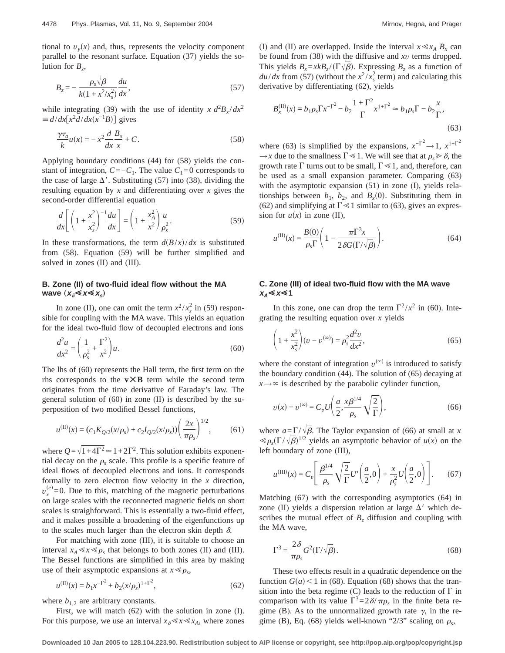tional to  $v_y(x)$  and, thus, represents the velocity component parallel to the resonant surface. Equation (37) yields the solution for  $B_z$ ,

$$
B_z = -\frac{\rho_s \sqrt{\beta}}{k(1 + x^2/x_s^2)} \frac{du}{dx},\tag{57}
$$

while integrating (39) with the use of identity  $x d^2B_x/dx^2$  $\equiv d/dx[x^2d/dx(x^{-1}B)]$  gives

$$
\frac{\gamma \tau_a}{k} u(x) = -x^2 \frac{d}{dx} \frac{B_x}{x} + C. \tag{58}
$$

Applying boundary conditions (44) for (58) yields the constant of integration,  $C=-C_1$ . The value  $C_1=0$  corresponds to the case of large  $\Delta'$ . Substituting (57) into (38), dividing the resulting equation by *x* and differentiating over *x* gives the second-order differential equation

$$
\frac{d}{dx}\left[\left(1+\frac{x^2}{x_s^2}\right)^{-1}\frac{du}{dx}\right] = \left(1+\frac{x_A^2}{x^2}\right)\frac{u}{\rho_s^2}.\tag{59}
$$

In these transformations, the term  $d(B/x)/dx$  is substituted from (58). Equation (59) will be further simplified and solved in zones (II) and (III).

# **B. Zone (II) of two-fluid ideal flow without the MA wave**  $(x_{\delta} \le x \le x_{\rm s})$

In zone (II), one can omit the term  $x^2/x_s^2$  in (59) responsible for coupling with the MA wave. This yields an equation for the ideal two-fluid flow of decoupled electrons and ions

$$
\frac{d^2u}{dx^2} = \left(\frac{1}{\rho_s^2} + \frac{\Gamma^2}{x^2}\right)u.
$$
\n(60)

The lhs of (60) represents the Hall term, the first term on the rhs corresponds to the  $v \times B$  term while the second term originates from the time derivative of Faraday's law. The general solution of (60) in zone (II) is described by the superposition of two modified Bessel functions,

$$
u^{(\text{II})}(x) = (c_1 K_{Q/2}(x/\rho_s) + c_2 I_{Q/2}(x/\rho_s)) \left(\frac{2x}{\pi \rho_s}\right)^{1/2},\tag{61}
$$

where  $Q = \sqrt{1+4\Gamma^2} \approx 1+2\Gamma^2$ . This solution exhibits exponential decay on the  $\rho_s$  scale. This profile is a specific feature of ideal flows of decoupled electrons and ions. It corresponds formally to zero electron flow velocity in the *x* direction,  $v_x^{(e)} = 0$ . Due to this, matching of the magnetic perturbations on large scales with the reconnected magnetic fields on short scales is straighforward. This is essentially a two-fluid effect, and it makes possible a broadening of the eigenfunctions up to the scales much larger than the electron skin depth  $\delta$ .

For matching with zone (III), it is suitable to choose an interval  $x_A \ll x \ll \rho_s$  that belongs to both zones (II) and (III). The Bessel functions are simplified in this area by making use of their asymptotic expansions at  $x \ll \rho_s$ ,

$$
u^{(II)}(x) = b_1 x^{-\Gamma^2} + b_2 (x/\rho_s)^{1+\Gamma^2},
$$
\n(62)

where  $b_{1,2}$  are arbitrary constants.

First, we will match (62) with the solution in zone (I). For this purpose, we use an interval  $x_{\delta} \le x \le x_A$ , where zones (I) and (II) are overlapped. Inside the interval  $x \ll x_A B_x$  can be found from (38) with the diffusive and *xv* terms dropped. This yields  $B_x = xkB_z/(\Gamma \sqrt{\beta})$ . Expressing  $B_z$  as a function of  $du/dx$  from (57) (without the  $x^2/x_s^2$  term) and calculating this derivative by differentiating (62), yields

$$
B_x^{(\text{II})}(x) = b_1 \rho_s \Gamma x^{-\Gamma^2} - b_2 \frac{1+\Gamma^2}{\Gamma} x^{1+\Gamma^2} \approx b_1 \rho_s \Gamma - b_2 \frac{x}{\Gamma},
$$
\n(63)

where (63) is simplified by the expansions,  $x^{-\Gamma^2} \to 1$ ,  $x^{1+\Gamma^2}$  $\rightarrow$ *x* due to the smallness  $\Gamma \ll 1$ . We will see that at  $\rho_s \gg \delta$ , the growth rate  $\Gamma$  turns out to be small,  $\Gamma \ll 1$ , and, therefore, can be used as a small expansion parameter. Comparing (63) with the asymptotic expansion (51) in zone (I), yields relationships between  $b_1$ ,  $b_2$ , and  $B_x(0)$ . Substituting them in (62) and simplifying at  $\Gamma \ll 1$  similar to (63), gives an expression for  $u(x)$  in zone (II),

$$
u^{(\text{II})}(x) = \frac{B(0)}{\rho_s \Gamma} \left( 1 - \frac{\pi \Gamma^3 x}{2 \delta G(\Gamma/\sqrt{\beta})} \right). \tag{64}
$$

# **C. Zone (III) of ideal two-fluid flow with the MA wave**  $x_A \le x \le 1$

In this zone, one can drop the term  $\Gamma^2 / x^2$  in (60). Integrating the resulting equation over *x* yields

$$
\left(1 + \frac{x^2}{x_s^2}\right)(v - v^{(\infty)}) = \rho_s^2 \frac{d^2 v}{dx^2},\tag{65}
$$

where the constant of integration  $v^{(\infty)}$  is introduced to satisfy the boundary condition (44). The solution of (65) decaying at  $x \rightarrow \infty$  is described by the parabolic cylinder function,

$$
v(x) - v^{(\infty)} = C_v U\left(\frac{a}{2}, \frac{x\beta^{1/4}}{\rho_s} \sqrt{\frac{2}{\Gamma}}\right),\tag{66}
$$

where  $a=\Gamma/\sqrt{\beta}$ . The Taylor expansion of (66) at small at *x*  $\ll \rho_s(\Gamma/\sqrt{\beta})^{1/2}$  yields an asymptotic behavior of *u(x)* on the left boundary of zone (III),

$$
u^{(\text{III})}(x) = C_v \left[ \frac{\beta^{1/4}}{\rho_s} \sqrt{\frac{2}{\Gamma}} U' \left( \frac{a}{2}, 0 \right) + \frac{x}{\rho_s^2} U \left( \frac{a}{2}, 0 \right) \right].
$$
 (67)

Matching (67) with the corresponding asymptotics (64) in zone (II) yields a dispersion relation at large  $\Delta'$  which describes the mutual effect of  $B<sub>z</sub>$  diffusion and coupling with the MA wave,

$$
\Gamma^3 = \frac{2\delta}{\pi \rho_s} G^2 (\Gamma/\sqrt{\beta}).
$$
\n(68)

These two effects result in a quadratic dependence on the function  $G(a)$ <1 in (68). Equation (68) shows that the transition into the beta regime (C) leads to the reduction of  $\Gamma$  in comparison with its value  $\Gamma^3 = 2\delta/\pi\rho_s$  in the finite beta regime (B). As to the unnormalized growth rate  $\gamma$ , in the regime (B), Eq. (68) yields well-known " $2/3$ " scaling on  $\rho_s$ ,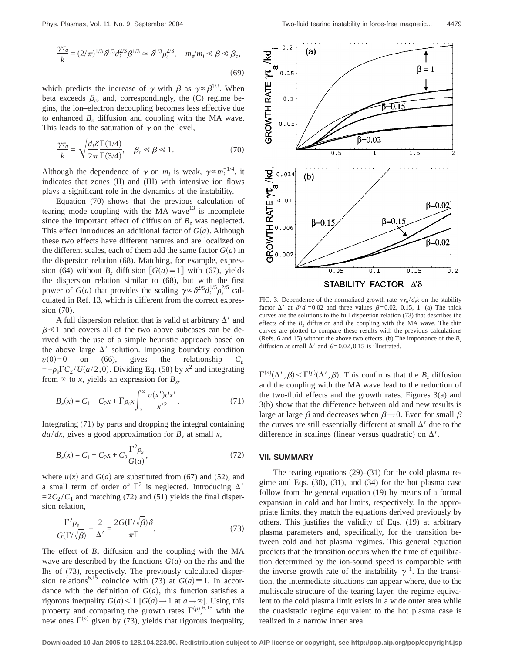$$
\frac{\gamma \tau_a}{k} = (2/\pi)^{1/3} \delta^{1/3} d_i^{2/3} \beta^{1/3} \simeq \delta^{1/3} \rho_s^{2/3}, \quad m_e/m_i \ll \beta \ll \beta_c,
$$
\n(69)

which predicts the increase of  $\gamma$  with  $\beta$  as  $\gamma \propto \beta^{1/3}$ . When beta exceeds  $\beta_c$ , and, correspondingly, the (C) regime begins, the ion–electron decoupling becomes less effective due to enhanced  $B<sub>z</sub>$  diffusion and coupling with the MA wave. This leads to the saturation of  $\gamma$  on the level,

$$
\frac{\gamma \tau_a}{k} = \sqrt{\frac{d_i \delta}{2\pi} \Gamma(3/4)}, \quad \beta_c \ll \beta \ll 1. \tag{70}
$$

Although the dependence of  $\gamma$  on  $m_i$  is weak,  $\gamma \propto m_i^{-1/4}$ , it indicates that zones (II) and (III) with intensive ion flows plays a significant role in the dynamics of the instability.

Equation (70) shows that the previous calculation of tearing mode coupling with the MA wave<sup>13</sup> is incomplete since the important effect of diffusion of  $B<sub>z</sub>$  was neglected. This effect introduces an additional factor of  $G(a)$ . Although these two effects have different natures and are localized on the different scales, each of them add the same factor  $G(a)$  in the dispersion relation (68). Matching, for example, expression (64) without *B<sub>z</sub>* diffusion  $[G(a) \equiv 1]$  with (67), yields the dispersion relation similar to (68), but with the first power of *G*(*a*) that provides the scaling  $\gamma \propto \delta^{2/5} d_i^{1/5} \rho_s^{2/5}$  calculated in Ref. 13, which is different from the correct expression (70).

A full dispersion relation that is valid at arbitrary  $\Delta'$  and  $\beta$  \left{ 1 and covers all of the two above subcases can be derived with the use of a simple heuristic approach based on the above large  $\Delta'$  solution. Imposing boundary condition  $v(0)=0$  on (66), gives the relationship  $C_v$  $=-\rho_s \Gamma C_2 / U(a/2,0)$ . Dividing Eq. (58) by  $x^2$  and integrating from  $\infty$  to *x*, yields an expression for  $B_x$ ,

$$
B_x(x) = C_1 + C_2 x + \Gamma \rho_s x \int_x^{\infty} \frac{u(x') dx'}{x'^2}.
$$
 (71)

Integrating (71) by parts and dropping the integral containing  $du/dx$ , gives a good approximation for  $B_x$  at small *x*,

$$
B_x(x) = C_1 + C_2 x + C_2 \frac{\Gamma^2 \rho_s}{G(a)},
$$
\n(72)

where  $u(x)$  and  $G(a)$  are substituted from (67) and (52), and a small term of order of  $\Gamma^2$  is neglected. Introducing  $\Delta'$  $=2C_2 / C_1$  and matching (72) and (51) yields the final dispersion relation,

$$
\frac{\Gamma^2 \rho_s}{G(\Gamma/\sqrt{\beta})} + \frac{2}{\Delta'} = \frac{2G(\Gamma/\sqrt{\beta})\delta}{\pi \Gamma}.
$$
 (73)

The effect of  $B<sub>z</sub>$  diffusion and the coupling with the MA wave are described by the functions  $G(a)$  on the rhs and the lhs of (73), respectively. The previously calculated dispersion relations<sup>6,15</sup> coincide with (73) at  $G(a) \equiv 1$ . In accordance with the definition of  $G(a)$ , this function satisfies a rigorous inequality  $G(a) < 1$  [ $G(a) \rightarrow 1$  at  $a \rightarrow \infty$ ]. Using this property and comparing the growth rates  $\Gamma^{(p)}$ ,<sup>6,15</sup> with the new ones  $\Gamma^{(n)}$  given by (73), yields that rigorous inequality,



FIG. 3. Dependence of the normalized growth rate  $\gamma \tau_a / d_i k$  on the stability factor  $\Delta'$  at  $\delta/d_i=0.02$  and three values  $\beta=0.02$ , 0.15, 1. (a) The thick curves are the solutions to the full dispersion relation (73) that describes the effects of the *Bz* diffusion and the coupling with the MA wave. The thin curves are plotted to compare these results with the previous calculations (Refs. 6 and 15) without the above two effects. (b) The importance of the  $B_7$ diffusion at small  $\Delta'$  and  $\beta$ =0.02,0.15 is illustrated.

 $\Gamma^{(n)}(\Delta', \beta) < \Gamma^{(p)}(\Delta', \beta)$ . This confirms that the  $B_z$  diffusion and the coupling with the MA wave lead to the reduction of the two-fluid effects and the growth rates. Figures 3(a) and 3(b) show that the difference between old and new results is large at large  $\beta$  and decreases when  $\beta \rightarrow 0$ . Even for small  $\beta$ the curves are still essentially different at small  $\Delta'$  due to the difference in scalings (linear versus quadratic) on  $\Delta'$ .

## **VII. SUMMARY**

The tearing equations (29)–(31) for the cold plasma regime and Eqs. (30), (31), and (34) for the hot plasma case follow from the general equation (19) by means of a formal expansion in cold and hot limits, respectively. In the appropriate limits, they match the equations derived previously by others. This justifies the validity of Eqs. (19) at arbitrary plasma parameters and, specifically, for the transition between cold and hot plasma regimes. This general equation predicts that the transition occurs when the time of equilibration determined by the ion-sound speed is comparable with the inverse growth rate of the instability  $\gamma^{-1}$ . In the transition, the intermediate situations can appear where, due to the multiscale structure of the tearing layer, the regime equivalent to the cold plasma limit exists in a wide outer area while the quasistatic regime equivalent to the hot plasma case is realized in a narrow inner area.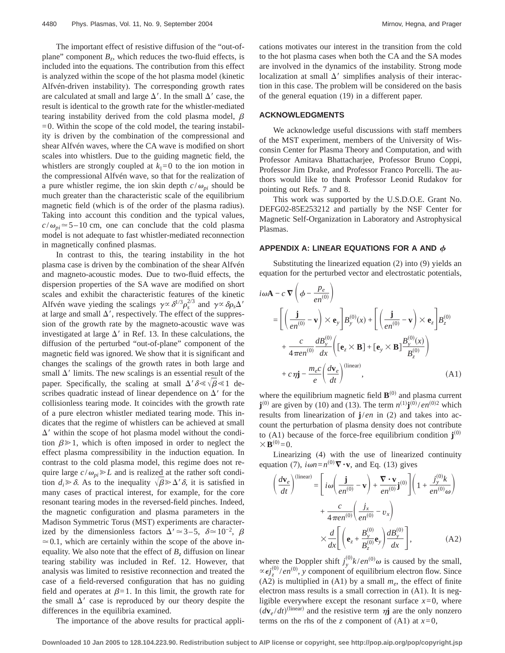The important effect of resistive diffusion of the "out-ofplane" component  $B_z$ , which reduces the two-fluid effects, is included into the equations. The contribution from this effect is analyzed within the scope of the hot plasma model (kinetic Alfvén-driven instability). The corresponding growth rates are calculated at small and large  $\Delta'$ . In the small  $\Delta'$  case, the result is identical to the growth rate for the whistler-mediated tearing instability derived from the cold plasma model,  $\beta$  $=0$ . Within the scope of the cold model, the tearing instability is driven by the combination of the compressional and shear Alfvén waves, where the CA wave is modified on short scales into whistlers. Due to the guiding magnetic field, the whistlers are strongly coupled at  $k_{\parallel}=0$  to the ion motion in the compressional Alfvén wave, so that for the realization of a pure whistler regime, the ion skin depth  $c/\omega_{pi}$  should be much greater than the characteristic scale of the equilibrium magnetic field (which is of the order of the plasma radius). Taking into account this condition and the typical values,  $c/w_{pi} \approx 5-10$  cm, one can conclude that the cold plasma model is not adequate to fast whistler-mediated reconnection in magnetically confined plasmas.

In contrast to this, the tearing instability in the hot plasma case is driven by the combination of the shear Alfvén and magneto-acoustic modes. Due to two-fluid effects, the dispersion properties of the SA wave are modified on short scales and exhibit the characteristic features of the kinetic Alfvén wave yieding the scalings  $\gamma \propto \delta^{1/3} \rho_s^{2/3}$  and  $\gamma \propto \delta \rho_s \Delta'$ at large and small  $\Delta'$ , respectively. The effect of the suppression of the growth rate by the magneto-acoustic wave was investigated at large  $\Delta'$  in Ref. 13. In these calculations, the diffusion of the perturbed "out-of-plane" component of the magnetic field was ignored. We show that it is significant and changes the scalings of the growth rates in both large and small  $\Delta'$  limits. The new scalings is an essential result of the paper. Specifically, the scaling at small  $\Delta' \delta \ll \sqrt{\beta} \ll 1$  describes quadratic instead of linear dependence on  $\Delta'$  for the collisionless tearing mode. It coincides with the growth rate of a pure electron whistler mediated tearing mode. This indicates that the regime of whistlers can be achieved at small  $\Delta'$  within the scope of hot plasma model without the condition  $\beta \geq 1$ , which is often imposed in order to neglect the effect plasma compressibility in the induction equation. In contrast to the cold plasma model, this regime does not require large  $c/\omega_{pi} \ge L$  and is realized at the rather soft condition  $d_i \geq \delta$ . As to the inequality  $\sqrt{\beta} \geq \Delta' \delta$ , it is satisfied in many cases of practical interest, for example, for the core resonant tearing modes in the reversed-field pinches. Indeed, the magnetic configuration and plasma parameters in the Madison Symmetric Torus (MST) experiments are characterized by the dimensionless factors  $\Delta' \approx 3-5$ ,  $\delta \approx 10^{-2}$ ,  $\beta$  $\approx 0.1$ , which are certainly within the scope of the above inequality. We also note that the effect of  $B<sub>z</sub>$  diffusion on linear tearing stability was included in Ref. 12. However, that analysis was limited to resistive reconnection and treated the case of a field-reversed configuration that has no guiding field and operates at  $\beta=1$ . In this limit, the growth rate for the small  $\Delta'$  case is reproduced by our theory despite the differences in the equilibria examined.

cations motivates our interest in the transition from the cold to the hot plasma cases when both the CA and the SA modes are involved in the dynamics of the instability. Strong mode localization at small  $\Delta'$  simplifies analysis of their interaction in this case. The problem will be considered on the basis of the general equation (19) in a different paper.

#### **ACKNOWLEDGMENTS**

We acknowledge useful discussions with staff members of the MST experiment, members of the University of Wisconsin Center for Plasma Theory and Computation, and with Professor Amitava Bhattacharjee, Professor Bruno Coppi, Professor Jim Drake, and Professor Franco Porcelli. The authors would like to thank Professor Leonid Rudakov for pointing out Refs. 7 and 8.

This work was supported by the U.S.D.O.E. Grant No. DEFG02-85E253212 and partially by the NSF Center for Magnetic Self-Organization in Laboratory and Astrophysical Plasmas.

#### APPENDIX A: LINEAR EQUATIONS FOR A AND  $\phi$

Substituting the linearized equation (2) into (9) yields an equation for the perturbed vector and electrostatic potentials,

$$
i\omega \mathbf{A} - c \nabla \left( \phi - \frac{p_e}{en^{(0)}} \right)
$$
  
\n
$$
= \left[ \left( \frac{\mathbf{j}}{en^{(0)}} - \mathbf{v} \right) \times \mathbf{e}_y \right] B_y^{(0)}(x) + \left[ \left( \frac{\mathbf{j}}{en^{(0)}} - \mathbf{v} \right) \times \mathbf{e}_z \right] B_z^{(0)} + \frac{c}{4 \pi en^{(0)}} \frac{dB_y^{(0)}}{dx} \left( [\mathbf{e}_z \times \mathbf{B}] + [\mathbf{e}_y \times \mathbf{B}] \frac{B_y^{(0)}(x)}{B_z^{(0)}} \right)
$$
  
\n
$$
+ c \eta \mathbf{j} - \frac{m_e c}{e} \left( \frac{d \mathbf{v}_e}{dt} \right)^{\text{(linear)}}, \tag{A1}
$$

where the equilibrium magnetic field  $\mathbf{B}^{(0)}$  and plasma current **j**<sup>(0)</sup> are given by (10) and (13). The term  $n^{(1)}$ **j**<sup>(0)</sup>/en<sup>(0)2</sup> which results from linearization of **j**/*en* in (2) and takes into account the perturbation of plasma density does not contribute to (A1) because of the force-free equilibrium condition  $\mathbf{j}^{(0)}$  $\times$  **B**<sup>(0)</sup>=0.

Linearizing (4) with the use of linearized continuity equation (7),  $i\omega n = n^{(0)}\nabla \cdot \mathbf{v}$ , and Eq. (13) gives

$$
\left(\frac{d\mathbf{v}_e}{dt}\right)^{(\text{linear})} = \left[i\omega\left(\frac{\mathbf{j}}{en^{(0)}} - \mathbf{v}\right) + \frac{\nabla \cdot \mathbf{v}}{en^{(0)}}\mathbf{j}^{(0)}\right)\left(1 + \frac{j_y^{(0)}k}{en^{(0)}\omega}\right) + \frac{c}{4\pi en^{(0)}}\left(\frac{j_x}{en^{(0)}} - v_x\right) \times \frac{d}{dx}\left[\left(\mathbf{e}_z + \frac{B_y^{(0)}}{B_z^{(0)}}\mathbf{e}_y\right)\frac{dB_y^{(0)}}{dx}\right],\tag{A2}
$$

where the Doppler shift  $j_y^{\prime\prime}$  $\int_{0}^{(0)}k/en^{(0)}\omega$  is caused by the small,  $\propto$  $\epsilon j_z^{\prime}$  $\int_{z}^{(0)}/en^{(0)}$ , *y* component of equilibrium electron flow. Since (A2) is multiplied in (A1) by a small  $m_e$ , the effect of finite electron mass results is a small correction in (A1). It is negligible everywhere except the resonant surface  $x=0$ , where  $(d\mathbf{v}_e/dt)^{(\text{linear})}$  and the resistive term  $\eta$ **j** are the only nonzero terms on the rhs of the *z* component of  $(A1)$  at  $x=0$ ,

The importance of the above results for practical appli-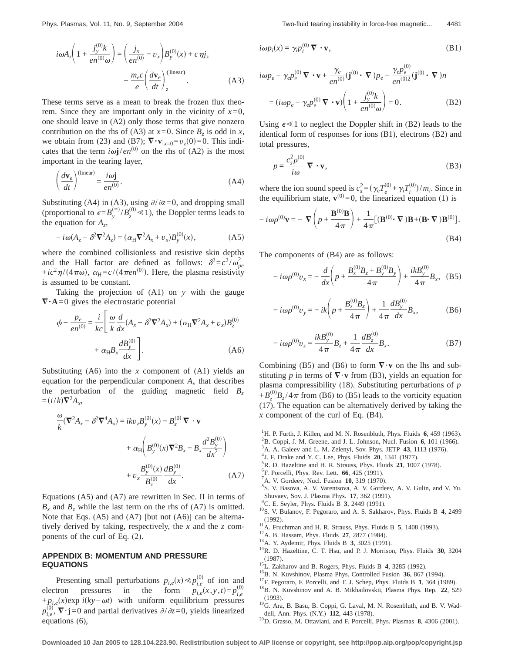$$
i\omega A_z \left( 1 + \frac{j_y^{(0)}k}{en^{(0)}\omega} \right) = \left( \frac{j_x}{en^{(0)}} - v_x \right) B_y^{(0)}(x) + c \eta j_z
$$

$$
- \frac{m_e c}{e} \left( \frac{d\mathbf{v}_e}{dt} \right)_z^{\text{(linear)}}.
$$
(A3)

These terms serve as a mean to break the frozen flux theorem. Since they are important only in the vicinity of  $x=0$ , one should leave in (A2) only those terms that give nonzero contribution on the rhs of (A3) at  $x=0$ . Since  $B_7$  is odd in  $x$ , we obtain from (23) and (B7);  $\nabla \cdot \mathbf{v}|_{x=0} = v_z(0) = 0$ . This indicates that the term  $i\omega j/en^{(0)}$  on the rhs of (A2) is the most important in the tearing layer,

$$
\left(\frac{d\mathbf{v}_e}{dt}\right)^{\text{(linear)}} = \frac{i\omega \mathbf{j}}{en^{(0)}}.
$$
\n(A4)

Substituting (A4) in (A3), using  $\partial/\partial z=0$ , and dropping small (proportional to  $\epsilon = B_y^{\vee}$  $\sum_{y}^{(\infty)}/B_{z}^{(0)} \ll 1$ , the Doppler terms leads to the equation for  $A_7$ ,

$$
-i\omega(A_z - \delta^2 \nabla^2 A_z) = (\alpha_H \nabla^2 A_x + v_x) B_y^{(0)}(x),
$$
 (A5)

where the combined collisionless and resistive skin depths and the Hall factor are defined as follows:  $\delta^2 = c^2 / \omega_{pe}^2$  $+ic^2\eta/(4\pi\omega)$ ,  $\alpha_H = c/(4\pi en^{(0)})$ . Here, the plasma resistivity is assumed to be constant.

Taking the projection of (A1) on *y* with the gauge  $\nabla \cdot \mathbf{A} = 0$  gives the electrostatic potential

$$
\phi - \frac{p_e}{en^{(0)}} = \frac{i}{kc} \left[ \frac{\omega}{k} \frac{d}{dx} (A_x - \delta^2 \nabla^2 A_x) + (\alpha_H \nabla^2 A_x + v_x) B_z^{(0)} + \alpha_H B_x \frac{dB_y^{(0)}}{dx} \right].
$$
\n(A6)

Substituting (A6) into the *x* component of (A1) yields an equation for the perpendicular component  $A_x$  that describes the perturbation of the guiding magnetic field  $B_z$  $=(i/k)\nabla^2 A_x,$ 

$$
\frac{\omega}{k}(\nabla^2 A_x - \delta^2 \nabla^4 A_x) = ikv_z B_y^{(0)}(x) - B_z^{(0)} \nabla \cdot \mathbf{v}
$$

$$
+ \alpha_H \left( B_y^{(0)}(x) \nabla^2 B_x - B_x \frac{d^2 B_y^{(0)}}{dx^2} \right)
$$

$$
+ v_x \frac{B_y^{(0)}(x)}{B_z^{(0)}} \frac{d B_y^{(0)}}{dx}.
$$
(A7)

Equations (A5) and (A7) are rewritten in Sec. II in terms of  $B_r$  and  $B_7$  while the last term on the rhs of (A7) is omitted. Note that Eqs. (A5) and (A7) [but not (A6)] can be alternatively derived by taking, respectively, the *x* and the *z* components of the curl of Eq. (2).

# **APPENDIX B: MOMENTUM AND PRESSURE EQUATIONS**

Presenting small perturbations  $p_{i,e}(x) \ll p_{i,e}^{(0)}$  of ion and electron pressures in the form  $p_{i,e}^{(k)}(x, y, t) = p_{i,e}^{(0)}$ + $p_{i,e}(x)$ exp  $i(ky-\omega t)$  with uniform equilibrium pressures  $p_{i,e}^{(0)}$ ,  $\nabla \cdot \mathbf{j} = 0$  and partial derivatives  $\partial/\partial z = 0$ , yields linearized equations (6),

 $\sim$ 

$$
i\omega p_i(x) = \gamma_i p_i^{(0)} \nabla \cdot \mathbf{v},\tag{B1}
$$

$$
i\omega p_e - \gamma_e p_e^{(0)} \nabla \cdot \mathbf{v} + \frac{\gamma_e}{en^{(0)}} (\mathbf{j}^{(0)} \cdot \nabla) p_e - \frac{\gamma_e p_e^{(0)}}{en^{(0)2}} (\mathbf{j}^{(0)} \cdot \nabla) n
$$
  
=  $(i\omega p_e - \gamma_e p_e^{(0)} \nabla \cdot \mathbf{v}) \left(1 + \frac{j_y^{(0)} k}{en^{(0)} \omega}\right) = 0.$  (B2)

Using  $\epsilon \ll 1$  to neglect the Doppler shift in (B2) leads to the identical form of responses for ions (B1), electrons (B2) and total pressures,

$$
p = \frac{c_s^2 \rho^{(0)}}{i\omega} \nabla \cdot \mathbf{v},
$$
 (B3)

where the ion sound speed is  $c_s^2 = (\gamma_e T_e^{(0)} + \gamma_i T_i^{(0)})/m_i$ . Since in the equilibrium state,  $\mathbf{v}^{(0)} = 0$ , the linearized equation (1) is

$$
-i\omega \rho^{(0)} \mathbf{v} = -\nabla \left( p + \frac{\mathbf{B}^{(0)} \mathbf{B}}{4\pi} \right) + \frac{1}{4\pi} [(\mathbf{B}^{(0)} \cdot \nabla) \mathbf{B} + (\mathbf{B} \cdot \nabla) \mathbf{B}^{(0)}].
$$
\n(B4)

The components of (B4) are as follows:

$$
-i\omega \rho^{(0)}v_x = -\frac{d}{dx}\left(p + \frac{B_z^{(0)}B_z + B_y^{(0)}B_y}{4\pi}\right) + \frac{i k B_y^{(0)}}{4\pi}B_x, \quad (B5)
$$

$$
-i\omega \rho^{(0)} v_y = -ik \left( p + \frac{B_z^{(0)} B_z}{4\pi} \right) + \frac{1}{4\pi} \frac{d B_y^{(0)}}{dx} B_x, \tag{B6}
$$

$$
-i\omega \rho^{(0)} v_z = \frac{i k B_y^{(0)}}{4\pi} B_z + \frac{1}{4\pi} \frac{d B_z^{(0)}}{dx} B_x.
$$
 (B7)

Combining (B5) and (B6) to form  $\nabla \cdot \mathbf{v}$  on the lhs and substituting p in terms of  $\nabla \cdot \mathbf{v}$  from (B3), yields an equation for plasma compressibility (18). Substituting perturbations of *p*  $+ B_z^{(0)} B_z / 4 \pi$  from (B6) to (B5) leads to the vorticity equation (17). The equation can be alternatively derived by taking the *x* component of the curl of Eq. (B4).

- <sup>1</sup>H. P. Furth, J. Killen, and M. N. Rosenbluth, Phys. Fluids **6**, 459 (1963). <sup>2</sup>B. Coppi, J. M. Greene, and J. L. Johnson, Nucl. Fusion **6**, 101 (1966).
- <sup>3</sup> A. A. Galeev and L. M. Zelenyi, Sov. Phys. JETP 43, 1113 (1976).
- <sup>4</sup> J. F. Drake and Y. C. Lee, Phys. Fluids **20**, 1341 (1977)
- <sup>5</sup>R. D. Hazeltine and H. R. Strauss, Phys. Fluids **21**, 1007 (1978).
- <sup>6</sup>F. Porcelli, Phys. Rev. Lett. **66**, 425 (1991).
- <sup>7</sup> A. V. Gordeev, Nucl. Fusion **10**, 319 (1970).
- S. V. Basova, A. V. Varentsova, A. V. Gordeev, A. V. Gulin, and V. Yu. Shuvaev, Sov. J. Plasma Phys. **17**, 362 (1991).<br><sup>9</sup>C. E. Seyler, Phys. Fluids B **3**, 2449 (1991).
- 
- <sup>10</sup>S. V. Bulanov, F. Pegoraro, and A. S. Sakharov, Phys. Fluids B **4**, 2499 (1992).<br><sup>11</sup> A. Fruchtman and H. R. Strauss, Phys. Fluids B 5, 1408 (1993).<br><sup>12</sup> A. B. Hassam, Phys. Fluids **27**, 2877 (1984).<br><sup>13</sup> A. Y. Aydemir, Phys. Fluids B 3, 3025 (1991).<br><sup>14</sup> R. D. Hazeltine, C. T. Hsu, and P. J.
- 
- 
- 
- 
- 
- 
- 
- (1987).<br><sup>15</sup>L. Zakharov and B. Rogers, Phys. Fluids B **4**, 3285 (1992).<br><sup>16</sup>B. N. Kuvshinov, Plasma Phys. Controlled Fusion **36**, 867 (1994).<br><sup>17</sup>F. Pegoraro, F. Porcelli, and T. J. Schep, Phys. Fluids B **1**, 364 (1989).<br> <sup>19</sup>G. Ara, B. Basu, B. Coppi, G. Laval, M. N. Rosenbluth, and B. V. Wad-
- 
- dell, Ann. Phys. (N.Y.) **<sup>112</sup>**, 443 (1978). 20D. Grasso, M. Ottaviani, and F. Porcelli, Phys. Plasmas **<sup>8</sup>**, 4306 (2001).